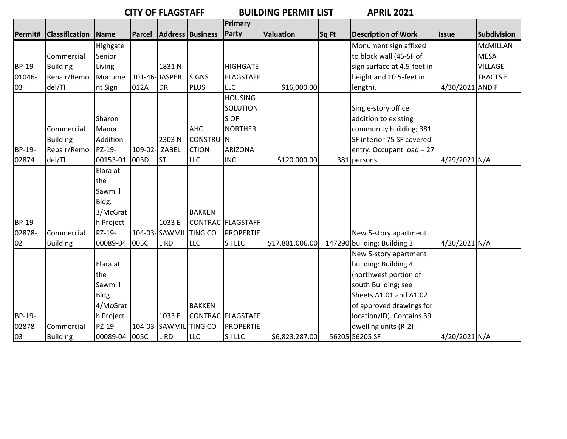**CITY OF FLAGSTAFF BUILDING PERMIT LIST APRIL 2021**

|        |                             |               |                |                       |                                | Primary           |                  |       |                             |                 |                    |
|--------|-----------------------------|---------------|----------------|-----------------------|--------------------------------|-------------------|------------------|-------|-----------------------------|-----------------|--------------------|
|        | Permit# Classification Name |               |                |                       | <b>Parcel Address Business</b> | Party             | <b>Valuation</b> | Sq Ft | <b>Description of Work</b>  | <b>Issue</b>    | <b>Subdivision</b> |
|        |                             | Highgate      |                |                       |                                |                   |                  |       | Monument sign affixed       |                 | <b>McMILLAN</b>    |
|        | Commercial                  | Senior        |                |                       |                                |                   |                  |       | to block wall (46-SF of     |                 | <b>MESA</b>        |
| BP-19- | <b>Building</b>             | Living        |                | 1831 N                |                                | <b>HIGHGATE</b>   |                  |       | sign surface at 4.5-feet in |                 | <b>VILLAGE</b>     |
| 01046- | Repair/Remo                 | Monume        | 101-46-JASPER  |                       | <b>SIGNS</b>                   | <b>FLAGSTAFF</b>  |                  |       | height and 10.5-feet in     |                 | <b>TRACTS E</b>    |
| 03     | del/TI                      | nt Sign       | 012A           | <b>DR</b>             | <b>PLUS</b>                    | <b>LLC</b>        | \$16,000.00      |       | length).                    | 4/30/2021 AND F |                    |
|        |                             |               |                |                       |                                | <b>HOUSING</b>    |                  |       |                             |                 |                    |
|        |                             |               |                |                       |                                | <b>SOLUTION</b>   |                  |       | Single-story office         |                 |                    |
|        |                             | Sharon        |                |                       |                                | S OF              |                  |       | addition to existing        |                 |                    |
|        | Commercial                  | Manor         |                |                       | <b>AHC</b>                     | <b>NORTHER</b>    |                  |       | community building; 381     |                 |                    |
|        | <b>Building</b>             | Addition      |                | 2303N                 | <b>CONSTRU</b> N               |                   |                  |       | SF interior 75 SF covered   |                 |                    |
| BP-19- | Repair/Remo                 | PZ-19-        | 109-02- IZABEL |                       | <b>CTION</b>                   | <b>ARIZONA</b>    |                  |       | entry. Occupant load = 27   |                 |                    |
| 02874  | del/TI                      | 00153-01      | 003D           | <b>ST</b>             | <b>LLC</b>                     | <b>INC</b>        | \$120,000.00     |       | 381 persons                 | 4/29/2021 N/A   |                    |
|        |                             | Elara at      |                |                       |                                |                   |                  |       |                             |                 |                    |
|        |                             | the           |                |                       |                                |                   |                  |       |                             |                 |                    |
|        |                             | Sawmill       |                |                       |                                |                   |                  |       |                             |                 |                    |
|        |                             | Bldg.         |                |                       |                                |                   |                  |       |                             |                 |                    |
|        |                             | 3/McGrat      |                |                       | <b>BAKKEN</b>                  |                   |                  |       |                             |                 |                    |
| BP-19- |                             | h Project     |                | 1033 E                |                                | CONTRAC FLAGSTAFF |                  |       |                             |                 |                    |
| 02878- | Commercial                  | PZ-19-        |                | 104-03-SAWMIL TING CO |                                | <b>PROPERTIE</b>  |                  |       | New 5-story apartment       |                 |                    |
| 02     | <b>Building</b>             | 00089-04      | 005C           | L RD                  | <b>LLC</b>                     | <b>SILLC</b>      | \$17,881,006.00  |       | 147290 building: Building 3 | 4/20/2021 N/A   |                    |
|        |                             |               |                |                       |                                |                   |                  |       | New 5-story apartment       |                 |                    |
|        |                             | Elara at      |                |                       |                                |                   |                  |       | building: Building 4        |                 |                    |
|        |                             | the           |                |                       |                                |                   |                  |       | (northwest portion of       |                 |                    |
|        |                             | Sawmill       |                |                       |                                |                   |                  |       | south Building; see         |                 |                    |
|        |                             | Bldg.         |                |                       |                                |                   |                  |       | Sheets A1.01 and A1.02      |                 |                    |
|        |                             | 4/McGrat      |                |                       | <b>BAKKEN</b>                  |                   |                  |       | of approved drawings for    |                 |                    |
| BP-19- |                             | h Project     |                | 1033 E                |                                | CONTRAC FLAGSTAFF |                  |       | location/ID). Contains 39   |                 |                    |
| 02878- | Commercial                  | PZ-19-        |                | 104-03-SAWMIL TING CO |                                | <b>PROPERTIE</b>  |                  |       | dwelling units (R-2)        |                 |                    |
| 03     | <b>Building</b>             | 00089-04 005C |                | L RD                  | <b>LLC</b>                     | <b>SILLC</b>      | \$6,823,287.00   |       | 56205 56205 SF              | 4/20/2021 N/A   |                    |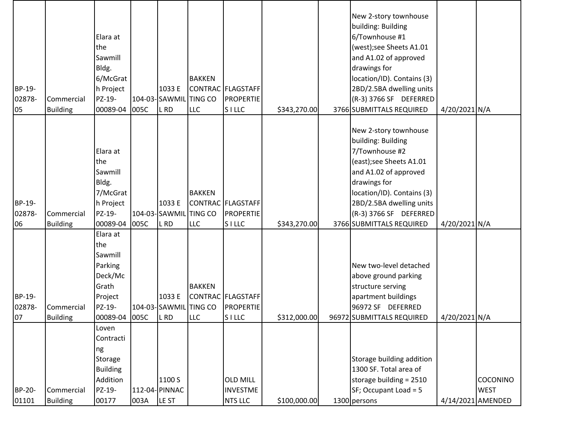| BP-19-<br>02878-<br>05       | Commercial<br><b>Building</b>                    | Elara at<br>the<br>Sawmill<br>Bldg.<br>6/McGrat<br>h Project<br>PZ-19-<br>00089-04                          | 005C | 1033 E<br>104-03-SAWMIL TING CO<br>L RD                    | <b>BAKKEN</b><br><b>LLC</b>               | CONTRAC FLAGSTAFF<br><b>PROPERTIE</b><br><b>SILLC</b>                   | \$343,270.00                 | New 2-story townhouse<br>building: Building<br>6/Townhouse #1<br>(west);see Sheets A1.01<br>and A1.02 of approved<br>drawings for<br>location/ID). Contains (3)<br>2BD/2.5BA dwelling units<br>(R-3) 3766 SF DEFERRED<br>3766 SUBMITTALS REQUIRED | 4/20/2021 N/A                  |                                                     |
|------------------------------|--------------------------------------------------|-------------------------------------------------------------------------------------------------------------|------|------------------------------------------------------------|-------------------------------------------|-------------------------------------------------------------------------|------------------------------|---------------------------------------------------------------------------------------------------------------------------------------------------------------------------------------------------------------------------------------------------|--------------------------------|-----------------------------------------------------|
| BP-19-<br>02878-             | Commercial                                       | Elara at<br>the<br>Sawmill<br>Bldg.<br>7/McGrat<br>h Project<br>PZ-19-                                      |      | 1033 E<br>104-03-SAWMIL TING CO                            | <b>BAKKEN</b>                             | CONTRAC FLAGSTAFF<br><b>PROPERTIE</b>                                   |                              | New 2-story townhouse<br>building: Building<br>7/Townhouse #2<br>(east);see Sheets A1.01<br>and A1.02 of approved<br>drawings for<br>location/ID). Contains (3)<br>2BD/2.5BA dwelling units<br>(R-3) 3766 SF DEFERRED                             |                                |                                                     |
| 06<br>BP-19-<br>02878-<br>07 | <b>Building</b><br>Commercial<br><b>Building</b> | 00089-04<br>Elara at<br>the<br>Sawmill<br>Parking<br>Deck/Mc<br>Grath<br>Project<br>PZ-19-<br>00089-04 005C | 005C | L RD<br>1033 E<br>104-03-SAWMIL TING CO<br>L <sub>RD</sub> | <b>LLC</b><br><b>BAKKEN</b><br><b>LLC</b> | <b>SILLC</b><br>CONTRAC   FLAGSTAFF<br><b>PROPERTIE</b><br><b>SILLC</b> | \$343,270.00<br>\$312,000.00 | 3766 SUBMITTALS REQUIRED<br>New two-level detached<br>above ground parking<br>structure serving<br>apartment buildings<br>96972 SF DEFERRED<br>96972 SUBMITTALS REQUIRED                                                                          | 4/20/2021 N/A<br>4/20/2021 N/A |                                                     |
| BP-20-<br>01101              | Commercial<br><b>Building</b>                    | Loven<br>Contracti<br>ng<br>Storage<br><b>Building</b><br>Addition<br>PZ-19-<br>00177                       | 003A | 1100 S<br>112-04- PINNAC<br>LE ST                          |                                           | <b>OLD MILL</b><br><b>INVESTME</b><br><b>NTS LLC</b>                    | \$100,000.00                 | Storage building addition<br>1300 SF. Total area of<br>storage building = 2510<br>SF; Occupant Load = 5<br>1300 persons                                                                                                                           |                                | <b>COCONINO</b><br><b>WEST</b><br>4/14/2021 AMENDED |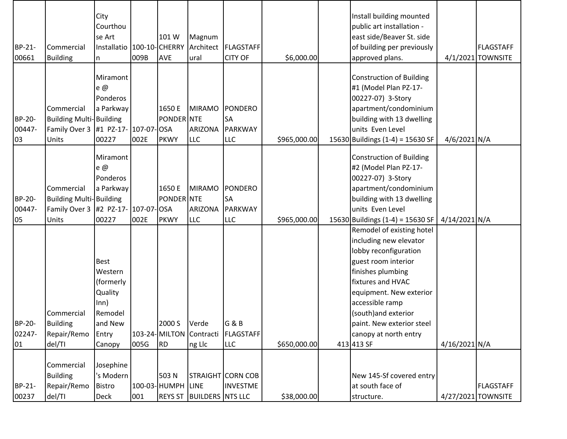| BP-21-<br>00661        | Commercial<br><b>Building</b>                                                               | City<br>Courthou<br>se Art<br>Installatio   100-10-CHERRY<br>n                                  | 009B | 101 W<br><b>AVE</b>                 | Magnum<br>ural                                | Architect   FLAGSTAFF<br><b>CITY OF</b>              | \$6,000.00   | Install building mounted<br>public art installation -<br>east side/Beaver St. side<br>of building per previously<br>approved plans.                                                                                                                                                     |                 | <b>FLAGSTAFF</b><br>4/1/2021 TOWNSITE  |
|------------------------|---------------------------------------------------------------------------------------------|-------------------------------------------------------------------------------------------------|------|-------------------------------------|-----------------------------------------------|------------------------------------------------------|--------------|-----------------------------------------------------------------------------------------------------------------------------------------------------------------------------------------------------------------------------------------------------------------------------------------|-----------------|----------------------------------------|
| BP-20-<br>00447-<br>03 | Commercial<br><b>Building Multi-Building</b><br>Family Over 3<br>Units                      | Miramont<br>e@<br>Ponderos<br>a Parkway<br>#1 PZ-17- 107-07- OSA<br>00227                       | 002E | 1650 E<br>PONDER NTE<br><b>PKWY</b> | <b>MIRAMO</b><br><b>ARIZONA</b><br><b>LLC</b> | <b>PONDERO</b><br><b>SA</b><br>PARKWAY<br><b>LLC</b> | \$965,000.00 | <b>Construction of Building</b><br>#1 (Model Plan PZ-17-<br>00227-07) 3-Story<br>apartment/condominium<br>building with 13 dwelling<br>units Even Level<br>15630 Buildings (1-4) = 15630 SF                                                                                             | 4/6/2021 N/A    |                                        |
| BP-20-<br>00447-<br>05 | Commercial<br><b>Building Multi-Building</b><br>Family Over 3 #2 PZ-17- 107-07-OSA<br>Units | Miramont<br>e $@$<br>Ponderos<br>a Parkway<br>00227                                             | 002E | 1650 E<br>PONDER NTE<br><b>PKWY</b> | <b>MIRAMO</b><br><b>ARIZONA</b><br><b>LLC</b> | <b>PONDERO</b><br><b>SA</b><br>PARKWAY<br><b>LLC</b> | \$965,000.00 | <b>Construction of Building</b><br>#2 (Model Plan PZ-17-<br>00227-07) 3-Story<br>apartment/condominium<br>building with 13 dwelling<br>units Even Level<br>15630 Buildings (1-4) = 15630 SF                                                                                             | 4/14/2021 N/A   |                                        |
| BP-20-<br>02247-<br>01 | Commercial<br><b>Building</b><br>Repair/Remo<br>del/TI                                      | <b>Best</b><br>Western<br>(formerly<br>Quality<br>Inn)<br>Remodel<br>and New<br>Entry<br>Canopy | 005G | 2000 S<br>RD                        | Verde<br>103-24-MILTON Contracti<br>ng Llc    | G & B<br><b>FLAGSTAFF</b><br><b>LLC</b>              | \$650,000.00 | Remodel of existing hotel<br>including new elevator<br>lobby reconfiguration<br>guest room interior<br>finishes plumbing<br>fixtures and HVAC<br>equipment. New exterior<br>accessible ramp<br>(south) and exterior<br>paint. New exterior steel<br>canopy at north entry<br>413 413 SF | $4/16/2021$ N/A |                                        |
| BP-21-<br>00237        | Commercial<br><b>Building</b><br>Repair/Remo<br>del/TI                                      | Josephine<br>'s Modern<br><b>Bistro</b><br><b>Deck</b>                                          | 001  | 503 N<br>100-03- HUMPH LINE         | <b>REYS ST BUILDERS NTS LLC</b>               | STRAIGHT CORN COB<br><b>INVESTME</b>                 | \$38,000.00  | New 145-Sf covered entry<br>at south face of<br>structure.                                                                                                                                                                                                                              |                 | <b>FLAGSTAFF</b><br>4/27/2021 TOWNSITE |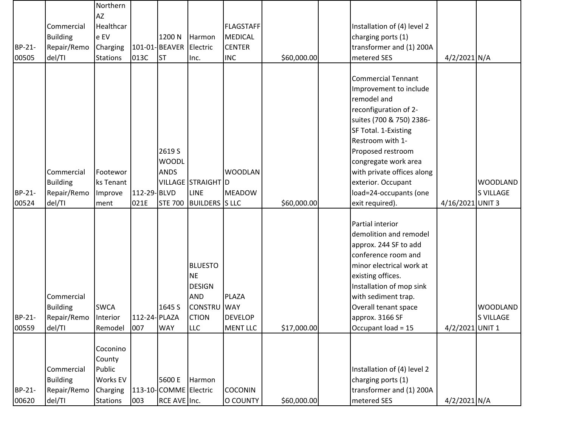|        |                 | Northern        |               |                        |                        |                                    |             |                                                |                  |                  |
|--------|-----------------|-----------------|---------------|------------------------|------------------------|------------------------------------|-------------|------------------------------------------------|------------------|------------------|
|        | Commercial      | AZ<br>Healthcar |               |                        |                        |                                    |             | Installation of (4) level 2                    |                  |                  |
|        |                 | e EV            |               | 1200 N                 |                        | <b>FLAGSTAFF</b><br><b>MEDICAL</b> |             |                                                |                  |                  |
| BP-21- | <b>Building</b> |                 |               | 101-01-BEAVER Electric | Harmon                 | <b>CENTER</b>                      |             | charging ports (1)<br>transformer and (1) 200A |                  |                  |
|        | Repair/Remo     | Charging        |               |                        |                        |                                    |             |                                                |                  |                  |
| 00505  | del/TI          | <b>Stations</b> | 013C          | <b>ST</b>              | Inc.                   | <b>INC</b>                         | \$60,000.00 | metered SES                                    | 4/2/2021 N/A     |                  |
|        |                 |                 |               |                        |                        |                                    |             | <b>Commercial Tennant</b>                      |                  |                  |
|        |                 |                 |               |                        |                        |                                    |             | Improvement to include                         |                  |                  |
|        |                 |                 |               |                        |                        |                                    |             | remodel and                                    |                  |                  |
|        |                 |                 |               |                        |                        |                                    |             | reconfiguration of 2-                          |                  |                  |
|        |                 |                 |               |                        |                        |                                    |             |                                                |                  |                  |
|        |                 |                 |               |                        |                        |                                    |             | suites (700 & 750) 2386-                       |                  |                  |
|        |                 |                 |               |                        |                        |                                    |             | SF Total. 1-Existing<br>Restroom with 1-       |                  |                  |
|        |                 |                 |               | 2619 S                 |                        |                                    |             |                                                |                  |                  |
|        |                 |                 |               |                        |                        |                                    |             | Proposed restroom                              |                  |                  |
|        | Commercial      |                 |               | <b>WOODL</b>           |                        | <b>WOODLAN</b>                     |             | congregate work area                           |                  |                  |
|        |                 | Footewor        |               | <b>ANDS</b>            |                        |                                    |             | with private offices along                     |                  |                  |
|        | <b>Building</b> | ks Tenant       |               |                        | VILLAGE STRAIGHT D     |                                    |             | exterior. Occupant                             |                  | <b>WOODLAND</b>  |
| BP-21- | Repair/Remo     | Improve         | 112-29-BLVD   |                        | <b>LINE</b>            | <b>MEADOW</b>                      |             | load=24-occupants (one                         |                  | S VILLAGE        |
| 00524  | del/TI          | ment            | 021E          |                        | STE 700 BUILDERS S LLC |                                    | \$60,000.00 | exit required).                                | 4/16/2021 UNIT 3 |                  |
|        |                 |                 |               |                        |                        |                                    |             | Partial interior                               |                  |                  |
|        |                 |                 |               |                        |                        |                                    |             | demolition and remodel                         |                  |                  |
|        |                 |                 |               |                        |                        |                                    |             |                                                |                  |                  |
|        |                 |                 |               |                        |                        |                                    |             | approx. 244 SF to add<br>conference room and   |                  |                  |
|        |                 |                 |               |                        | <b>BLUESTO</b>         |                                    |             | minor electrical work at                       |                  |                  |
|        |                 |                 |               |                        | <b>NE</b>              |                                    |             | existing offices.                              |                  |                  |
|        |                 |                 |               |                        | <b>DESIGN</b>          |                                    |             | Installation of mop sink                       |                  |                  |
|        | Commercial      |                 |               |                        | <b>AND</b>             | PLAZA                              |             | with sediment trap.                            |                  |                  |
|        | <b>Building</b> | <b>SWCA</b>     |               | 1645 S                 | <b>CONSTRU</b> WAY     |                                    |             | Overall tenant space                           |                  | <b>WOODLAND</b>  |
| BP-21- | Repair/Remo     | Interior        | 112-24- PLAZA |                        | <b>CTION</b>           | <b>DEVELOP</b>                     |             | approx. 3166 SF                                |                  | <b>S VILLAGE</b> |
| 00559  | del/TI          | Remodel         | 007           | <b>WAY</b>             | LLC                    | <b>MENT LLC</b>                    | \$17,000.00 | Occupant load = 15                             | 4/2/2021 UNIT 1  |                  |
|        |                 |                 |               |                        |                        |                                    |             |                                                |                  |                  |
|        |                 | Coconino        |               |                        |                        |                                    |             |                                                |                  |                  |
|        |                 | County          |               |                        |                        |                                    |             |                                                |                  |                  |
|        | Commercial      | Public          |               |                        |                        |                                    |             | Installation of (4) level 2                    |                  |                  |
|        | <b>Building</b> | Works EV        |               | 5600 E                 | Harmon                 |                                    |             | charging ports (1)                             |                  |                  |
| BP-21- | Repair/Remo     | Charging        |               | 113-10-COMME Electric  |                        | <b>COCONIN</b>                     |             | transformer and (1) 200A                       |                  |                  |
| 00620  | del/TI          | <b>Stations</b> | 003           | RCE AVE Inc.           |                        | O COUNTY                           | \$60,000.00 | metered SES                                    | 4/2/2021 N/A     |                  |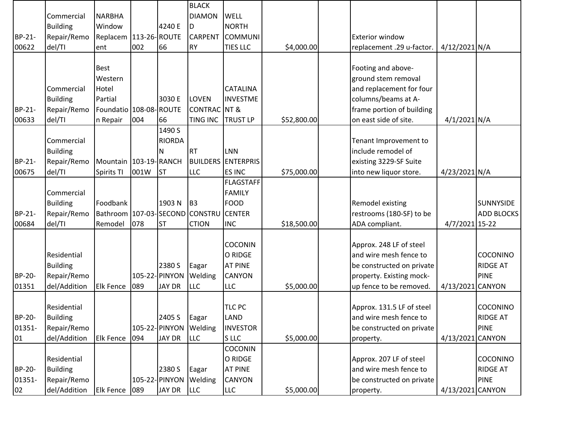|              |                             |                                  |      |                                 | <b>BLACK</b>            |                                               |             |                                        |                  |                   |
|--------------|-----------------------------|----------------------------------|------|---------------------------------|-------------------------|-----------------------------------------------|-------------|----------------------------------------|------------------|-------------------|
|              | Commercial                  | <b>NARBHA</b>                    |      |                                 | <b>DIAMON</b>           | <b>WELL</b>                                   |             |                                        |                  |                   |
|              | <b>Building</b>             | Window                           |      | 4240 E                          | ID                      | <b>NORTH</b>                                  |             |                                        |                  |                   |
| BP-21-       | Repair/Remo                 | Replacem   113-26- ROUTE         |      |                                 | <b>CARPENT</b>          | <b>COMMUNI</b>                                |             | <b>Exterior window</b>                 |                  |                   |
| 00622        | del/TI                      | ent                              | 002  | 66                              | <b>RY</b>               | <b>TIES LLC</b>                               | \$4,000.00  | replacement .29 u-factor.              | 4/12/2021 N/A    |                   |
|              |                             |                                  |      |                                 |                         |                                               |             |                                        |                  |                   |
|              |                             | <b>Best</b>                      |      |                                 |                         |                                               |             | Footing and above-                     |                  |                   |
|              |                             | Western                          |      |                                 |                         |                                               |             | ground stem removal                    |                  |                   |
|              | Commercial                  | Hotel                            |      |                                 |                         | <b>CATALINA</b>                               |             | and replacement for four               |                  |                   |
|              | <b>Building</b>             | Partial                          |      | 3030 E                          | <b>LOVEN</b>            | <b>INVESTME</b>                               |             | columns/beams at A-                    |                  |                   |
| BP-21-       | Repair/Remo                 | Foundatio 108-08-ROUTE           |      |                                 | <b>CONTRAC</b> NT &     |                                               |             | frame portion of building              |                  |                   |
| 00633        | del/TI                      | n Repair                         | 004  | 66                              | <b>TING INC</b>         | <b>TRUST LP</b>                               | \$52,800.00 | on east side of site.                  | $4/1/2021$ N/A   |                   |
|              |                             |                                  |      | 1490 S                          |                         |                                               |             |                                        |                  |                   |
|              | Commercial                  |                                  |      | <b>RIORDA</b>                   |                         |                                               |             | Tenant Improvement to                  |                  |                   |
|              | <b>Building</b>             |                                  |      | N                               | <b>RT</b>               | LNN                                           |             | include remodel of                     |                  |                   |
| BP-21-       | Repair/Remo                 | Mountain   103-19- RANCH         |      |                                 |                         | <b>BUILDERS ENTERPRIS</b>                     |             | existing 3229-SF Suite                 |                  |                   |
| 00675        | del/TI                      | Spirits TI                       | 001W | <b>ST</b>                       | <b>LLC</b>              | <b>ES INC</b>                                 | \$75,000.00 | into new liquor store.                 | 4/23/2021 N/A    |                   |
|              |                             |                                  |      |                                 |                         | <b>FLAGSTAFF</b>                              |             |                                        |                  |                   |
|              | Commercial                  |                                  |      |                                 |                         | <b>FAMILY</b>                                 |             |                                        |                  |                   |
|              | <b>Building</b>             | Foodbank                         |      | 1903 N                          | B <sub>3</sub>          | <b>FOOD</b>                                   |             | Remodel existing                       |                  | SUNNYSIDE         |
| BP-21-       | Repair/Remo                 | Bathroom   107-03-SECOND CONSTRU |      |                                 |                         | <b>CENTER</b>                                 |             | restrooms (180-SF) to be               |                  | <b>ADD BLOCKS</b> |
| 00684        | del/TI                      | Remodel                          | 078  | <b>ST</b>                       | <b>CTION</b>            | <b>INC</b>                                    | \$18,500.00 | ADA compliant.                         | 4/7/2021 15-22   |                   |
|              |                             |                                  |      |                                 |                         |                                               |             |                                        |                  |                   |
|              |                             |                                  |      |                                 |                         | <b>COCONIN</b>                                |             | Approx. 248 LF of steel                |                  |                   |
|              | Residential                 |                                  |      |                                 |                         | O RIDGE                                       |             | and wire mesh fence to                 |                  | COCONINO          |
|              | <b>Building</b>             |                                  |      | 2380 S                          | Eagar                   | <b>AT PINE</b>                                |             | be constructed on private              |                  | <b>RIDGE AT</b>   |
| BP-20-       | Repair/Remo                 |                                  |      | 105-22- PINYON                  | Welding                 | <b>CANYON</b>                                 |             | property. Existing mock-               |                  | <b>PINE</b>       |
| 01351        | del/Addition                | <b>Elk Fence</b>                 | 089  | <b>JAY DR</b>                   | <b>LLC</b>              | <b>LLC</b>                                    | \$5,000.00  | up fence to be removed.                | 4/13/2021 CANYON |                   |
|              |                             |                                  |      |                                 |                         |                                               |             |                                        |                  |                   |
|              | Residential                 |                                  |      |                                 |                         | <b>TLC PC</b>                                 |             | Approx. 131.5 LF of steel              |                  | COCONINO          |
| BP-20-       | <b>Building</b>             |                                  |      | 2405 S                          | Eagar                   | LAND                                          |             | and wire mesh fence to                 |                  | <b>RIDGE AT</b>   |
| 01351-       | Repair/Remo                 |                                  |      | 105-22- PINYON Welding          |                         | <b>INVESTOR</b>                               |             | be constructed on private              |                  | <b>PINE</b>       |
| 01           | del/Addition                | <b>Elk Fence</b>                 | 094  | <b>JAY DR</b>                   | <b>LLC</b>              | S LLC                                         | \$5,000.00  | property.                              | 4/13/2021 CANYON |                   |
|              |                             |                                  |      |                                 |                         | COCONIN                                       |             |                                        |                  |                   |
|              | Residential                 |                                  |      |                                 |                         | O RIDGE                                       |             | Approx. 207 LF of steel                |                  | COCONINO          |
| BP-20-       | <b>Building</b>             |                                  |      | 2380 S                          |                         |                                               |             | and wire mesh fence to                 |                  | <b>RIDGE AT</b>   |
|              |                             |                                  |      |                                 |                         |                                               |             |                                        |                  |                   |
|              |                             |                                  |      |                                 |                         |                                               |             |                                        |                  |                   |
| 01351-<br>02 | Repair/Remo<br>del/Addition | <b>Elk Fence</b>                 | 089  | 105-22- PINYON<br><b>JAY DR</b> | Eagar<br>Welding<br>LLC | <b>AT PINE</b><br><b>CANYON</b><br><b>LLC</b> | \$5,000.00  | be constructed on private<br>property. | 4/13/2021 CANYON | <b>PINE</b>       |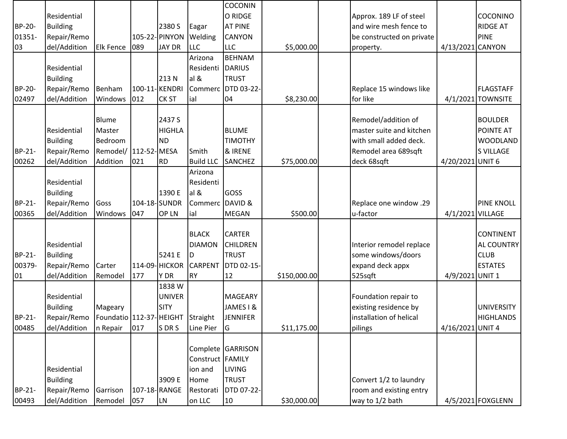|        |                 |                                   |     |                |                  | <b>COCONIN</b>     |              |                           |                  |                   |
|--------|-----------------|-----------------------------------|-----|----------------|------------------|--------------------|--------------|---------------------------|------------------|-------------------|
|        | Residential     |                                   |     |                |                  | O RIDGE            |              | Approx. 189 LF of steel   |                  | COCONINO          |
| BP-20- | <b>Building</b> |                                   |     | 2380 S         | Eagar            | <b>AT PINE</b>     |              | and wire mesh fence to    |                  | <b>RIDGE AT</b>   |
| 01351- | Repair/Remo     |                                   |     | 105-22- PINYON | Welding          | <b>CANYON</b>      |              | be constructed on private |                  | <b>PINE</b>       |
| 03     | del/Addition    | <b>Elk Fence</b>                  | 089 | <b>JAY DR</b>  | <b>LLC</b>       | <b>LLC</b>         | \$5,000.00   | property.                 | 4/13/2021 CANYON |                   |
|        |                 |                                   |     |                | Arizona          | <b>BEHNAM</b>      |              |                           |                  |                   |
|        | Residential     |                                   |     |                | Residenti        | <b>DARIUS</b>      |              |                           |                  |                   |
|        | <b>Building</b> |                                   |     | 213N           | al &             | <b>TRUST</b>       |              |                           |                  |                   |
| BP-20- | Repair/Remo     | Benham                            |     | 100-11-KENDRI  |                  | Commerc DTD 03-22- |              | Replace 15 windows like   |                  | <b>FLAGSTAFF</b>  |
| 02497  | del/Addition    | Windows                           | 012 | <b>CK ST</b>   | ial              | 04                 | \$8,230.00   | for like                  |                  | 4/1/2021 TOWNSITE |
|        |                 |                                   |     |                |                  |                    |              |                           |                  |                   |
|        |                 | <b>Blume</b>                      |     | 2437 S         |                  |                    |              | Remodel/addition of       |                  | <b>BOULDER</b>    |
|        | Residential     | Master                            |     | <b>HIGHLA</b>  |                  | <b>BLUME</b>       |              | master suite and kitchen  |                  | POINTE AT         |
|        | <b>Building</b> | Bedroom                           |     | <b>ND</b>      |                  | <b>TIMOTHY</b>     |              | with small added deck.    |                  | <b>WOODLAND</b>   |
| BP-21- | Repair/Remo     | Remodel/ 112-52-MESA              |     |                | Smith            | & IRENE            |              | Remodel area 689sqft      |                  | <b>S VILLAGE</b>  |
| 00262  | del/Addition    | Addition                          | 021 | <b>RD</b>      | <b>Build LLC</b> | <b>SANCHEZ</b>     | \$75,000.00  | deck 68sqft               | 4/20/2021 UNIT 6 |                   |
|        |                 |                                   |     |                | Arizona          |                    |              |                           |                  |                   |
|        | Residential     |                                   |     |                | Residenti        |                    |              |                           |                  |                   |
|        | <b>Building</b> |                                   |     | 1390 E         | al &             | GOSS               |              |                           |                  |                   |
| BP-21- | Repair/Remo     | Goss                              |     | 104-18-SUNDR   | Commerc DAVID &  |                    |              | Replace one window .29    |                  | <b>PINE KNOLL</b> |
| 00365  | del/Addition    | Windows                           | 047 | OP LN          | ial              | <b>MEGAN</b>       | \$500.00     | u-factor                  | 4/1/2021 VILLAGE |                   |
|        |                 |                                   |     |                |                  |                    |              |                           |                  |                   |
|        |                 |                                   |     |                | <b>BLACK</b>     | <b>CARTER</b>      |              |                           |                  | <b>CONTINENT</b>  |
|        | Residential     |                                   |     |                | <b>DIAMON</b>    | <b>CHILDREN</b>    |              | Interior remodel replace  |                  | AL COUNTRY        |
| BP-21- | <b>Building</b> |                                   |     | 5241 E         | D                | <b>TRUST</b>       |              | some windows/doors        |                  | <b>CLUB</b>       |
| 00379- | Repair/Remo     | Carter                            |     | 114-09- HICKOR | <b>CARPENT</b>   | DTD 02-15-         |              | expand deck appx          |                  | <b>ESTATES</b>    |
| 01     | del/Addition    | Remodel                           | 177 | Y DR           | <b>RY</b>        | 12                 | \$150,000.00 | 525sqft                   | 4/9/2021 UNIT 1  |                   |
|        |                 |                                   |     | 1838 W         |                  |                    |              |                           |                  |                   |
|        | Residential     |                                   |     | <b>UNIVER</b>  |                  | <b>MAGEARY</b>     |              | Foundation repair to      |                  |                   |
|        | <b>Building</b> | Mageary                           |     | <b>SITY</b>    |                  | JAMES I &          |              | existing residence by     |                  | <b>UNIVERSITY</b> |
| BP-21- | Repair/Remo     | Foundatio 112-37- HEIGHT Straight |     |                |                  | <b>JENNIFER</b>    |              | installation of helical   |                  | <b>HIGHLANDS</b>  |
| 00485  | del/Addition    | In Repair                         | 017 | S DR S         | Line Pier        | lG                 | \$11,175.00  | pilings                   | 4/16/2021 UNIT 4 |                   |
|        |                 |                                   |     |                |                  |                    |              |                           |                  |                   |
|        |                 |                                   |     |                |                  | Complete GARRISON  |              |                           |                  |                   |
|        |                 |                                   |     |                | Construct FAMILY |                    |              |                           |                  |                   |
|        | Residential     |                                   |     |                | ion and          | <b>LIVING</b>      |              |                           |                  |                   |
|        | <b>Building</b> |                                   |     | 3909 E         | Home             | <b>TRUST</b>       |              | Convert 1/2 to laundry    |                  |                   |
| BP-21- | Repair/Remo     | Garrison                          |     | 107-18-RANGE   | Restorati        | DTD 07-22-         |              | room and existing entry   |                  |                   |
| 00493  | del/Addition    | Remodel                           | 057 | <b>LN</b>      | on LLC           | 10                 | \$30,000.00  | way to 1/2 bath           |                  | 4/5/2021 FOXGLENN |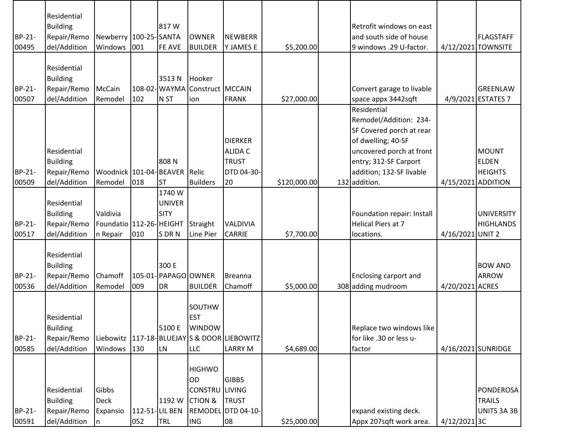|        | Residential                    |                           |     |                      |                               |                                                |              |                            |                    |                    |
|--------|--------------------------------|---------------------------|-----|----------------------|-------------------------------|------------------------------------------------|--------------|----------------------------|--------------------|--------------------|
|        | <b>Building</b>                |                           |     | 817W                 |                               |                                                |              | Retrofit windows on east   |                    |                    |
| BP-21- | Repair/Remo                    | Newberry 100-25-SANTA     |     |                      | <b>OWNER</b>                  | <b>NEWBERR</b>                                 |              | and south side of house    |                    | <b>FLAGSTAFF</b>   |
| 00495  | del/Addition                   | Windows                   | 001 | FE AVE               | <b>BUILDER</b>                | <b>Y JAMES E</b>                               | \$5,200.00   | 9 windows .29 U-factor.    |                    | 4/12/2021 TOWNSITE |
|        |                                |                           |     |                      |                               |                                                |              |                            |                    |                    |
|        | Residential                    |                           |     |                      |                               |                                                |              |                            |                    |                    |
|        | <b>Building</b>                |                           |     | 3513N                | Hooker                        |                                                |              |                            |                    |                    |
| BP-21- | Repair/Remo                    | McCain                    |     |                      | 108-02-WAYMA Construct MCCAIN |                                                |              | Convert garage to livable  |                    | <b>GREENLAW</b>    |
| 00507  | del/Addition                   | Remodel                   | 102 | N <sub>ST</sub>      | ion                           | <b>FRANK</b>                                   | \$27,000.00  | space appx 3442sqft        |                    | 4/9/2021 ESTATES 7 |
|        |                                |                           |     |                      |                               |                                                |              | Residential                |                    |                    |
|        |                                |                           |     |                      |                               |                                                |              | Remodel/Addition: 234-     |                    |                    |
|        |                                |                           |     |                      |                               |                                                |              | SF Covered porch at rear   |                    |                    |
|        |                                |                           |     |                      |                               | <b>DIERKER</b>                                 |              | of dwelling; 40-SF         |                    |                    |
|        | Residential                    |                           |     |                      |                               | <b>ALIDA C</b>                                 |              | uncovered porch at front   |                    | <b>MOUNT</b>       |
|        | <b>Building</b>                |                           |     | 808N                 |                               | <b>TRUST</b>                                   |              | entry; 312-SF Carport      |                    | <b>ELDEN</b>       |
| BP-21- | Repair/Remo                    | Woodnick   101-04- BEAVER |     |                      | Relic                         | DTD 04-30-                                     |              | addition; 132-SF livable   |                    | <b>HEIGHTS</b>     |
| 00509  | del/Addition                   | Remodel                   | 018 | <b>ST</b>            | <b>Builders</b>               | 20                                             | \$120,000.00 | 132 addition.              | 4/15/2021 ADDITION |                    |
|        |                                |                           |     | 1740 W               |                               |                                                |              |                            |                    |                    |
|        | Residential                    |                           |     | <b>UNIVER</b>        |                               |                                                |              |                            |                    |                    |
|        | <b>Building</b>                | Valdivia                  |     | SITY                 |                               |                                                |              | Foundation repair: Install |                    | <b>UNIVERSITY</b>  |
| BP-21- | Repair/Remo                    | Foundatio 112-26- HEIGHT  |     |                      | Straight                      | <b>VALDIVIA</b>                                |              | Helical Piers at 7         |                    | <b>HIGHLANDS</b>   |
| 00517  | del/Addition                   | n Repair                  | 010 | S DR N               | Line Pier                     | <b>CARRIE</b>                                  | \$7,700.00   | locations.                 | 4/16/2021 UNIT 2   |                    |
|        |                                |                           |     |                      |                               |                                                |              |                            |                    |                    |
|        | Residential                    |                           |     | 300 E                |                               |                                                |              |                            |                    | <b>BOW AND</b>     |
| BP-21- | <b>Building</b><br>Repair/Remo | Chamoff                   |     | 105-01- PAPAGO OWNER |                               | Breanna                                        |              | Enclosing carport and      |                    | <b>ARROW</b>       |
| 00536  | del/Addition                   | Remodel                   | 009 | DR                   | <b>BUILDER</b>                | Chamoff                                        | \$5,000.00   | 308 adding mudroom         | 4/20/2021 ACRES    |                    |
|        |                                |                           |     |                      |                               |                                                |              |                            |                    |                    |
|        |                                |                           |     |                      | <b>SOUTHW</b>                 |                                                |              |                            |                    |                    |
|        | Residential                    |                           |     |                      | <b>EST</b>                    |                                                |              |                            |                    |                    |
|        | <b>Building</b>                |                           |     | 5100 E               | <b>WINDOW</b>                 |                                                |              | Replace two windows like   |                    |                    |
| BP-21- | Repair/Remo                    |                           |     |                      |                               | Liebowitz   117-18- BLUEJAY S & DOOR LIEBOWITZ |              | for like .30 or less u-    |                    |                    |
| 00585  | del/Addition                   | Windows                   | 130 | <b>LN</b>            | <b>LLC</b>                    | <b>LARRY M</b>                                 | \$4,689.00   | factor                     |                    | 4/16/2021 SUNRIDGE |
|        |                                |                           |     |                      |                               |                                                |              |                            |                    |                    |
|        |                                |                           |     |                      | <b>HIGHWO</b>                 |                                                |              |                            |                    |                    |
|        |                                |                           |     |                      | OD                            | <b>GIBBS</b>                                   |              |                            |                    |                    |
|        | Residential                    | Gibbs                     |     |                      | CONSTRU LIVING                |                                                |              |                            |                    | <b>PONDEROSA</b>   |
|        | <b>Building</b>                | <b>Deck</b>               |     | 1192 W               | <b>CTION &amp;</b>            | <b>TRUST</b>                                   |              |                            |                    | <b>TRAILS</b>      |
| BP-21- | Repair/Remo                    | Expansio                  |     | 112-51-LIL BEN       |                               | REMODEL DTD 04-10-                             |              | expand existing deck.      |                    | UNITS 3A 3B        |
| 00591  | del/Addition                   | n                         | 052 | <b>TRL</b>           | <b>ING</b>                    | 08                                             | \$25,000.00  | Appx 207sqft work area.    | 4/12/20213C        |                    |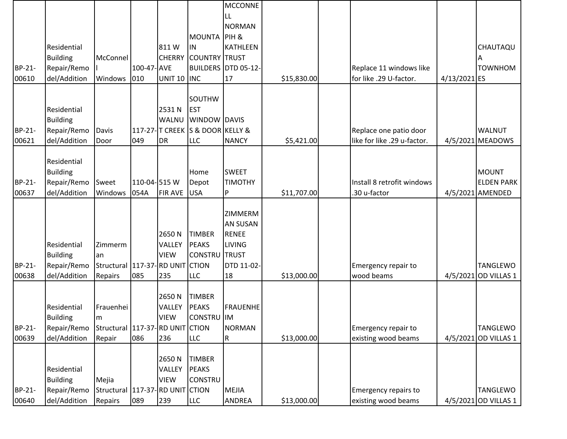|               |                 |                                    |             |                |                                  | <b>MCCONNE</b>             |             |                                   |              |                      |
|---------------|-----------------|------------------------------------|-------------|----------------|----------------------------------|----------------------------|-------------|-----------------------------------|--------------|----------------------|
|               |                 |                                    |             |                |                                  | <b>LL</b>                  |             |                                   |              |                      |
|               |                 |                                    |             |                |                                  | <b>NORMAN</b>              |             |                                   |              |                      |
|               |                 |                                    |             |                | <b>MOUNTA PIH &amp;</b>          |                            |             |                                   |              |                      |
|               | Residential     |                                    |             | 811W           | IN.                              | <b>KATHLEEN</b>            |             |                                   |              | CHAUTAQU             |
|               | <b>Building</b> | McConnel                           |             | <b>CHERRY</b>  | <b>COUNTRY TRUST</b>             |                            |             |                                   |              |                      |
| BP-21-        | Repair/Remo     |                                    | 100-47- AVE |                |                                  | <b>BUILDERS DTD 05-12-</b> |             | Replace 11 windows like           |              | <b>TOWNHOM</b>       |
| 00610         | del/Addition    | Windows 010                        |             | UNIT 10 INC    |                                  | 17                         | \$15,830.00 | for like .29 U-factor.            | 4/13/2021 ES |                      |
|               |                 |                                    |             |                |                                  |                            |             |                                   |              |                      |
|               |                 |                                    |             |                | <b>SOUTHW</b>                    |                            |             |                                   |              |                      |
|               | Residential     |                                    |             | 2531N          | <b>EST</b>                       |                            |             |                                   |              |                      |
|               | <b>Building</b> |                                    |             | WALNU          | <b>WINDOW DAVIS</b>              |                            |             |                                   |              |                      |
| BP-21-        | Repair/Remo     | Davis                              |             |                | 117-27- T CREEK S & DOOR KELLY & |                            |             | Replace one patio door            |              | <b>WALNUT</b>        |
| 00621         | del/Addition    | Door                               | 049         | DR             | <b>LLC</b>                       | <b>NANCY</b>               | \$5,421.00  | like for like .29 u-factor.       |              | 4/5/2021 MEADOWS     |
|               |                 |                                    |             |                |                                  |                            |             |                                   |              |                      |
|               | Residential     |                                    |             |                |                                  |                            |             |                                   |              |                      |
|               | <b>Building</b> |                                    |             |                | Home                             | <b>SWEET</b>               |             |                                   |              | <b>MOUNT</b>         |
| BP-21-        | Repair/Remo     | Sweet                              | 110-04-515W |                | Depot                            | <b>TIMOTHY</b>             |             | Install 8 retrofit windows        |              | <b>ELDEN PARK</b>    |
| 00637         | del/Addition    | Windows                            | 054A        | <b>FIR AVE</b> | <b>USA</b>                       | P                          | \$11,707.00 | .30 u-factor                      |              | 4/5/2021 AMENDED     |
|               |                 |                                    |             |                |                                  |                            |             |                                   |              |                      |
|               |                 |                                    |             |                |                                  | ZIMMERM                    |             |                                   |              |                      |
|               |                 |                                    |             |                |                                  | <b>AN SUSAN</b>            |             |                                   |              |                      |
|               |                 |                                    |             | 2650N          | <b>TIMBER</b>                    | <b>RENEE</b>               |             |                                   |              |                      |
|               | Residential     | Zimmerm                            |             | VALLEY         | <b>PEAKS</b>                     | <b>LIVING</b>              |             |                                   |              |                      |
|               | <b>Building</b> | an                                 |             | <b>VIEW</b>    | <b>CONSTRU TRUST</b>             |                            |             |                                   |              |                      |
| BP-21-        | Repair/Remo     | Structural   117-37- RD UNIT CTION |             |                |                                  | DTD 11-02-                 |             | Emergency repair to<br>wood beams |              | <b>TANGLEWO</b>      |
| 00638         | del/Addition    | Repairs                            | 085         | 235            | <b>LLC</b>                       | 18                         | \$13,000.00 |                                   |              | 4/5/2021 OD VILLAS 1 |
|               |                 |                                    |             | 2650N          | <b>TIMBER</b>                    |                            |             |                                   |              |                      |
|               | Residential     | Frauenhei                          |             | VALLEY         | <b>PEAKS</b>                     | <b>FRAUENHE</b>            |             |                                   |              |                      |
|               | <b>Building</b> | m                                  |             | <b>VIEW</b>    | CONSTRU IM                       |                            |             |                                   |              |                      |
| <b>BP-21-</b> | Repair/Remo     | Structural 117-37-RD UNIT CTION    |             |                |                                  | <b>NORMAN</b>              |             | Emergency repair to               |              | <b>TANGLEWO</b>      |
| 00639         | del/Addition    | Repair                             | 086         | 236            | <b>LLC</b>                       | ${\sf R}$                  | \$13,000.00 | existing wood beams               |              | 4/5/2021 OD VILLAS 1 |
|               |                 |                                    |             |                |                                  |                            |             |                                   |              |                      |
|               |                 |                                    |             | 2650N          | <b>TIMBER</b>                    |                            |             |                                   |              |                      |
|               | Residential     |                                    |             | VALLEY         | <b>PEAKS</b>                     |                            |             |                                   |              |                      |
|               | <b>Building</b> | Mejia                              |             | <b>VIEW</b>    | <b>CONSTRU</b>                   |                            |             |                                   |              |                      |
| BP-21-        | Repair/Remo     | Structural 117-37-RD UNIT CTION    |             |                |                                  | <b>MEJIA</b>               |             | Emergency repairs to              |              | <b>TANGLEWO</b>      |
| 00640         | del/Addition    | Repairs                            | 089         | 239            | <b>LLC</b>                       | ANDREA                     | \$13,000.00 | existing wood beams               |              | 4/5/2021 OD VILLAS 1 |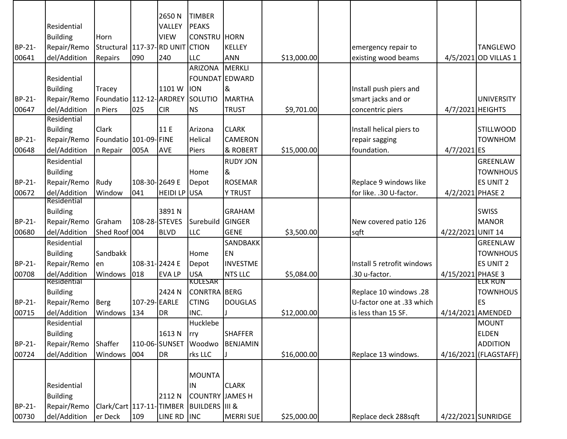| <b>TIMBER</b><br>2650N<br><b>PEAKS</b><br>Residential<br>VALLEY<br><b>Building</b><br><b>VIEW</b><br><b>CONSTRU HORN</b><br>Horn<br>Repair/Remo<br>117-37-RD UNIT CTION<br>BP-21-<br>Structural<br><b>KELLEY</b><br><b>TANGLEWO</b><br>emergency repair to<br>090<br>00641<br>del/Addition<br><b>LLC</b><br><b>ANN</b><br>\$13,000.00<br>existing wood beams<br>4/5/2021 OD VILLAS 1<br>240<br>Repairs<br><b>ARIZONA</b><br><b>MERKLI</b> |
|-------------------------------------------------------------------------------------------------------------------------------------------------------------------------------------------------------------------------------------------------------------------------------------------------------------------------------------------------------------------------------------------------------------------------------------------|
|                                                                                                                                                                                                                                                                                                                                                                                                                                           |
|                                                                                                                                                                                                                                                                                                                                                                                                                                           |
|                                                                                                                                                                                                                                                                                                                                                                                                                                           |
|                                                                                                                                                                                                                                                                                                                                                                                                                                           |
|                                                                                                                                                                                                                                                                                                                                                                                                                                           |
|                                                                                                                                                                                                                                                                                                                                                                                                                                           |
| FOUNDAT EDWARD<br>Residential                                                                                                                                                                                                                                                                                                                                                                                                             |
| Install push piers and<br><b>Building</b><br>1101W<br><b>ION</b><br>&<br>Tracey                                                                                                                                                                                                                                                                                                                                                           |
| BP-21-<br>Repair/Remo<br>Foundatio 112-12- ARDREY<br>SOLUTIO<br>smart jacks and or<br><b>MARTHA</b><br><b>UNIVERSITY</b>                                                                                                                                                                                                                                                                                                                  |
| del/Addition<br>025<br>4/7/2021 HEIGHTS<br>00647<br>n Piers<br><b>CIR</b><br><b>NS</b><br><b>TRUST</b><br>\$9,701.00<br>concentric piers                                                                                                                                                                                                                                                                                                  |
| Residential                                                                                                                                                                                                                                                                                                                                                                                                                               |
| <b>Building</b><br>Clark<br>11 E<br>Arizona<br><b>CLARK</b><br>Install helical piers to<br><b>STILLWOOD</b>                                                                                                                                                                                                                                                                                                                               |
| BP-21-<br>Foundatio 101-09- FINE<br><b>TOWNHOM</b><br>Repair/Remo<br><b>Helical</b><br><b>CAMERON</b><br>repair sagging                                                                                                                                                                                                                                                                                                                   |
| del/Addition<br>& ROBERT<br>foundation.<br>00648<br>005A<br>\$15,000.00<br>4/7/2021 ES<br>n Repair<br><b>AVE</b><br>Piers                                                                                                                                                                                                                                                                                                                 |
| <b>RUDY JON</b><br>Residential<br><b>GREENLAW</b>                                                                                                                                                                                                                                                                                                                                                                                         |
| <b>Building</b><br>&<br>Home<br><b>TOWNHOUS</b>                                                                                                                                                                                                                                                                                                                                                                                           |
| BP-21-<br>Rudy<br>108-30-2649 E<br>Replace 9 windows like<br><b>ES UNIT 2</b><br>Repair/Remo<br><b>ROSEMAR</b><br>Depot                                                                                                                                                                                                                                                                                                                   |
| del/Addition<br>041<br>for like. .30 U-factor.<br>00672<br>Window<br>HEIDI LP USA<br><b>Y TRUST</b><br>4/2/2021 PHASE 2                                                                                                                                                                                                                                                                                                                   |
| Residential                                                                                                                                                                                                                                                                                                                                                                                                                               |
| <b>Building</b><br>3891N<br><b>GRAHAM</b><br><b>SWISS</b>                                                                                                                                                                                                                                                                                                                                                                                 |
| BP-21-<br>Repair/Remo<br>108-28-STEVES<br>Graham<br>Surebuild<br>GINGER<br>New covered patio 126<br><b>MANOR</b>                                                                                                                                                                                                                                                                                                                          |
| 00680<br>del/Addition<br>Shed Roof 004<br>4/22/2021 UNIT 14<br><b>BLVD</b><br><b>LLC</b><br><b>GENE</b><br>\$3,500.00<br>sqft                                                                                                                                                                                                                                                                                                             |
| <b>SANDBAKK</b><br>GREENLAW<br>Residential                                                                                                                                                                                                                                                                                                                                                                                                |
| <b>TOWNHOUS</b><br><b>Building</b><br>Sandbakk<br>EN<br>Home                                                                                                                                                                                                                                                                                                                                                                              |
| BP-21-<br>Repair/Remo<br>108-31-2424 E<br>Install 5 retrofit windows<br><b>ES UNIT 2</b><br><b>INVESTME</b><br>Depot<br>en                                                                                                                                                                                                                                                                                                                |
| del/Addition<br>Windows<br>018<br><b>USA</b><br><b>NTS LLC</b><br>.30 u-factor.<br>00708<br><b>EVALP</b><br>\$5,084.00<br>4/15/2021 PHASE 3<br><b>KOLESAR</b><br>Residential<br>ELK RUN                                                                                                                                                                                                                                                   |
| <b>CONRTRA BERG</b><br><b>Building</b><br>2424 N<br>Replace 10 windows .28<br><b>TOWNHOUS</b>                                                                                                                                                                                                                                                                                                                                             |
| ES<br>BP-21-<br>107-29-EARLE<br><b>CTING</b><br><b>DOUGLAS</b><br>Repair/Remo<br><b>Berg</b><br>U-factor one at .33 which                                                                                                                                                                                                                                                                                                                 |
| del/Addition<br>134<br>INC.<br>is less than 15 SF.<br>00715<br>Windows<br>DR<br>\$12,000.00<br>4/14/2021 AMENDED                                                                                                                                                                                                                                                                                                                          |
| Hucklebe<br>Residential<br><b>MOUNT</b>                                                                                                                                                                                                                                                                                                                                                                                                   |
| <b>Building</b><br>1613N<br><b>ELDEN</b><br><b>SHAFFER</b><br>rry                                                                                                                                                                                                                                                                                                                                                                         |
| Repair/Remo<br>Shaffer<br>110-06-SUNSET<br><b>ADDITION</b><br>BP-21-<br>Woodwo<br>BENJAMIN                                                                                                                                                                                                                                                                                                                                                |
| del/Addition<br>004<br>DR<br>\$16,000.00<br>00724<br>Windows<br>rks LLC<br>Replace 13 windows.<br>4/16/2021 (FLAGSTAFF)                                                                                                                                                                                                                                                                                                                   |
|                                                                                                                                                                                                                                                                                                                                                                                                                                           |
| <b>MOUNTA</b>                                                                                                                                                                                                                                                                                                                                                                                                                             |
| Residential<br><b>CLARK</b><br>IN                                                                                                                                                                                                                                                                                                                                                                                                         |
| <b>Building</b><br><b>COUNTRY JAMES H</b><br>2112 N                                                                                                                                                                                                                                                                                                                                                                                       |
| Clark/Cart 117-11-TIMBER BUILDERS III &<br>BP-21-<br>Repair/Remo                                                                                                                                                                                                                                                                                                                                                                          |
| del/Addition<br>109<br>LINE RD INC<br>00730<br>er Deck<br><b>MERRI SUE</b><br>\$25,000.00<br>Replace deck 288sqft<br>4/22/2021 SUNRIDGE                                                                                                                                                                                                                                                                                                   |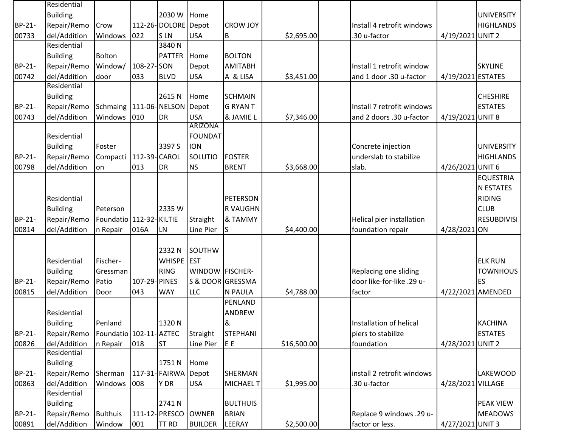|        | Residential     |                            |               |                     |                        |                  |             |                            |                   |                    |
|--------|-----------------|----------------------------|---------------|---------------------|------------------------|------------------|-------------|----------------------------|-------------------|--------------------|
|        | <b>Building</b> |                            |               | 2030 W              | Home                   |                  |             |                            |                   | <b>UNIVERSITY</b>  |
| BP-21- | Repair/Remo     | Crow                       |               | 112-26-DOLORE Depot |                        | <b>CROW JOY</b>  |             | Install 4 retrofit windows |                   | <b>HIGHLANDS</b>   |
| 00733  | del/Addition    | Windows                    | 022           | <b>SLN</b>          | <b>USA</b>             | B                | \$2,695.00  | .30 u-factor               | 4/19/2021 UNIT 2  |                    |
|        | Residential     |                            |               | 3840N               |                        |                  |             |                            |                   |                    |
|        | <b>Building</b> | Bolton                     |               | <b>PATTER</b>       | Home                   | <b>BOLTON</b>    |             |                            |                   |                    |
| BP-21- | Repair/Remo     | Window/                    | 108-27-SON    |                     | Depot                  | <b>AMITABH</b>   |             | Install 1 retrofit window  |                   | <b>SKYLINE</b>     |
| 00742  | del/Addition    | door                       | 033           | <b>BLVD</b>         | <b>USA</b>             | A & LISA         | \$3,451.00  | and 1 door .30 u-factor    | 4/19/2021 ESTATES |                    |
|        | Residential     |                            |               |                     |                        |                  |             |                            |                   |                    |
|        | <b>Building</b> |                            |               | 2615N               | Home                   | <b>SCHMAIN</b>   |             |                            |                   | <b>CHESHIRE</b>    |
| BP-21- | Repair/Remo     | Schmaing 111-06-NELSON     |               |                     | Depot                  | <b>G RYAN T</b>  |             | Install 7 retrofit windows |                   | <b>ESTATES</b>     |
| 00743  | del/Addition    | Windows                    | 010           | <b>DR</b>           | <b>USA</b>             | & JAMIE L        | \$7,346.00  | and 2 doors .30 u-factor   | 4/19/2021 UNIT 8  |                    |
|        |                 |                            |               |                     | <b>ARIZONA</b>         |                  |             |                            |                   |                    |
|        | Residential     |                            |               |                     | <b>FOUNDAT</b>         |                  |             |                            |                   |                    |
|        | <b>Building</b> | Foster                     |               | 3397 S              | <b>ION</b>             |                  |             | Concrete injection         |                   | <b>UNIVERSITY</b>  |
| BP-21- | Repair/Remo     | Compacti                   | 112-39-CAROL  |                     | SOLUTIO                | <b>FOSTER</b>    |             | underslab to stabilize     |                   | <b>HIGHLANDS</b>   |
| 00798  | del/Addition    | on                         | 013           | <b>DR</b>           | <b>NS</b>              | <b>BRENT</b>     | \$3,668.00  | slab.                      | 4/26/2021         | UNIT <sub>6</sub>  |
|        |                 |                            |               |                     |                        |                  |             |                            |                   | <b>EQUESTRIA</b>   |
|        |                 |                            |               |                     |                        |                  |             |                            |                   | <b>N ESTATES</b>   |
|        | Residential     |                            |               |                     |                        | PETERSON         |             |                            |                   | <b>RIDING</b>      |
|        | <b>Building</b> | Peterson                   |               | 2335W               |                        | <b>RVAUGHN</b>   |             |                            |                   | <b>CLUB</b>        |
| BP-21- | Repair/Remo     | Foundatio   112-32- KILTIE |               |                     | Straight               | & TAMMY          |             | Helical pier installation  |                   | <b>RESUBDIVISI</b> |
| 00814  | del/Addition    | n Repair                   | 016A          | LN                  | Line Pier              | IS               | \$4,400.00  | foundation repair          | 4/28/2021 ON      |                    |
|        |                 |                            |               |                     |                        |                  |             |                            |                   |                    |
|        |                 |                            |               | 2332 N              | SOUTHW                 |                  |             |                            |                   |                    |
|        | Residential     | Fischer-                   |               | WHISPE EST          |                        |                  |             |                            |                   | <b>ELK RUN</b>     |
|        | <b>Building</b> | Gressman                   |               | <b>RING</b>         | <b>WINDOW FISCHER-</b> |                  |             | Replacing one sliding      |                   | <b>TOWNHOUS</b>    |
| BP-21- | Repair/Remo     | Patio                      | 107-29- PINES |                     | S & DOOR GRESSMA       |                  |             | door like-for-like .29 u-  |                   | <b>ES</b>          |
| 00815  | del/Addition    | Door                       | 043           | <b>WAY</b>          | <b>LLC</b>             | <b>N PAULA</b>   | \$4,788.00  | factor                     |                   | 4/22/2021 AMENDED  |
|        |                 |                            |               |                     |                        | PENLAND          |             |                            |                   |                    |
|        | Residential     |                            |               |                     |                        | <b>ANDREW</b>    |             |                            |                   |                    |
|        | <b>Building</b> | Penland                    |               | 1320N               |                        | 8                |             | Installation of helical    |                   | <b>KACHINA</b>     |
| BP-21- | Repair/Remo     | Foundatio 102-11-AZTEC     |               |                     | Straight               | <b>STEPHANI</b>  |             | piers to stabilize         |                   | <b>ESTATES</b>     |
| 00826  | del/Addition    | n Repair                   | 018           | <b>ST</b>           | Line Pier              | JE E             | \$16,500.00 | foundation                 | 4/28/2021 UNIT 2  |                    |
|        | Residential     |                            |               |                     |                        |                  |             |                            |                   |                    |
|        | <b>Building</b> |                            |               | 1751N               | Home                   |                  |             |                            |                   |                    |
| BP-21- | Repair/Remo     | Sherman                    |               | 117-31- FAIRWA      | Depot                  | <b>SHERMAN</b>   |             | install 2 retrofit windows |                   | <b>LAKEWOOD</b>    |
| 00863  | del/Addition    | Windows                    | 008           | Y DR                | <b>USA</b>             | <b>MICHAEL T</b> | \$1,995.00  | .30 u-factor               | 4/28/2021 VILLAGE |                    |
|        | Residential     |                            |               |                     |                        |                  |             |                            |                   |                    |
|        | <b>Building</b> |                            |               | 2741N               |                        | <b>BULTHUIS</b>  |             |                            |                   | <b>PEAK VIEW</b>   |
| BP-21- | Repair/Remo     | <b>Bulthuis</b>            |               | 111-12- PRESCO      | <b>OWNER</b>           | <b>BRIAN</b>     |             | Replace 9 windows .29 u-   |                   | <b>MEADOWS</b>     |
| 00891  | del/Addition    | Window                     | 001           | <b>TT RD</b>        | <b>BUILDER</b>         | LEERAY           | \$2,500.00  | factor or less.            | 4/27/2021 UNIT 3  |                    |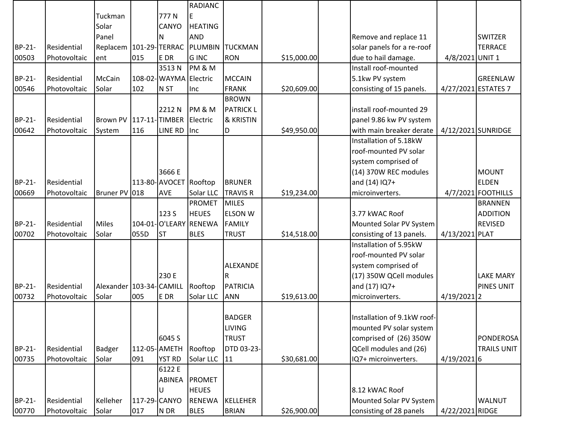|        |              |                            |              |                        | <b>RADIANC</b>        |                        |             |                             |                     |                    |
|--------|--------------|----------------------------|--------------|------------------------|-----------------------|------------------------|-------------|-----------------------------|---------------------|--------------------|
|        |              | Tuckman                    |              | 777N                   |                       |                        |             |                             |                     |                    |
|        |              | Solar                      |              | CANYO                  | <b>HEATING</b>        |                        |             |                             |                     |                    |
|        |              | Panel                      |              | N                      | <b>AND</b>            |                        |             | Remove and replace 11       |                     | <b>SWITZER</b>     |
| BP-21- | Residential  | Replacem   101-29- TERRAC  |              |                        |                       | <b>PLUMBIN TUCKMAN</b> |             | solar panels for a re-roof  |                     | <b>TERRACE</b>     |
| 00503  | Photovoltaic | ent                        | 015          | E DR                   | <b>GINC</b>           | <b>RON</b>             | \$15,000.00 | due to hail damage.         | 4/8/2021 UNIT 1     |                    |
|        |              |                            |              | 3513N                  | <b>PM &amp; M</b>     |                        |             | Install roof-mounted        |                     |                    |
| BP-21- | Residential  | McCain                     |              | 108-02- WAYMA Electric |                       | <b>MCCAIN</b>          |             | 5.1kw PV system             |                     | GREENLAW           |
| 00546  | Photovoltaic | Solar                      | 102          | N <sub>ST</sub>        | Inc                   | <b>FRANK</b>           | \$20,609.00 | consisting of 15 panels.    | 4/27/2021 ESTATES 7 |                    |
|        |              |                            |              |                        |                       | <b>BROWN</b>           |             |                             |                     |                    |
|        |              |                            |              | 2212N                  | PM&M                  | <b>PATRICK L</b>       |             | install roof-mounted 29     |                     |                    |
| BP-21- | Residential  | Brown PV 117-11-TIMBER     |              |                        | Electric              | & KRISTIN              |             | panel 9.86 kw PV system     |                     |                    |
| 00642  | Photovoltaic | System                     | 116          | LINE RD                | Inc                   | D                      | \$49,950.00 | with main breaker derate    |                     | 4/12/2021 SUNRIDGE |
|        |              |                            |              |                        |                       |                        |             | Installation of 5.18kW      |                     |                    |
|        |              |                            |              |                        |                       |                        |             | roof-mounted PV solar       |                     |                    |
|        |              |                            |              |                        |                       |                        |             | system comprised of         |                     |                    |
|        |              |                            |              | 3666 E                 |                       |                        |             | (14) 370W REC modules       |                     | <b>MOUNT</b>       |
| BP-21- | Residential  |                            |              | 113-80- AVOCET         | Rooftop               | <b>BRUNER</b>          |             | and (14) IQ7+               |                     | <b>ELDEN</b>       |
| 00669  | Photovoltaic | Bruner PV 018              |              | AVE                    | Solar LLC             | <b>TRAVIS R</b>        | \$19,234.00 | microinverters.             |                     | 4/7/2021 FOOTHILLS |
|        |              |                            |              |                        | <b>PROMET</b>         | <b>MILES</b>           |             |                             |                     | <b>BRANNEN</b>     |
|        |              |                            |              | 123 S                  | <b>HEUES</b>          | <b>ELSON W</b>         |             | 3.77 kWAC Roof              |                     | <b>ADDITION</b>    |
| BP-21- | Residential  | <b>Miles</b>               |              |                        | 104-01-O'LEARY RENEWA | <b>FAMILY</b>          |             | Mounted Solar PV System     |                     | <b>REVISED</b>     |
| 00702  | Photovoltaic | Solar                      | 055D         | <b>ST</b>              | <b>BLES</b>           | <b>TRUST</b>           | \$14,518.00 | consisting of 13 panels.    | 4/13/2021 PLAT      |                    |
|        |              |                            |              |                        |                       |                        |             | Installation of 5.95kW      |                     |                    |
|        |              |                            |              |                        |                       |                        |             | roof-mounted PV solar       |                     |                    |
|        |              |                            |              |                        |                       | <b>ALEXANDE</b>        |             | system comprised of         |                     |                    |
|        |              |                            |              | 230 E                  |                       | IR.                    |             | (17) 350W QCell modules     |                     | <b>LAKE MARY</b>   |
| BP-21- | Residential  | Alexander   103-34- CAMILL |              |                        | Rooftop               | <b>PATRICIA</b>        |             | and (17) IQ7+               |                     | PINES UNIT         |
| 00732  | Photovoltaic | Solar                      | 005          | E DR                   | Solar LLC             | <b>ANN</b>             | \$19,613.00 | microinverters.             | $4/19/2021$  2      |                    |
|        |              |                            |              |                        |                       |                        |             |                             |                     |                    |
|        |              |                            |              |                        |                       | <b>BADGER</b>          |             | Installation of 9.1kW roof- |                     |                    |
|        |              |                            |              |                        |                       | <b>LIVING</b>          |             | mounted PV solar system     |                     |                    |
|        |              |                            |              | 6045 S                 |                       | <b>TRUST</b>           |             | comprised of (26) 350W      |                     | <b>PONDEROSA</b>   |
| BP-21- | Residential  | <b>Badger</b>              |              | 112-05-AMETH           | Rooftop               | DTD 03-23-             |             | QCell modules and (26)      |                     | <b>TRAILS UNIT</b> |
| 00735  | Photovoltaic | Solar                      | 091          | <b>YST RD</b>          | Solar LLC             | 11                     | \$30,681.00 | IQ7+ microinverters.        | $4/19/2021$ 6       |                    |
|        |              |                            |              | 6122 E                 |                       |                        |             |                             |                     |                    |
|        |              |                            |              | ABINEA                 | <b>PROMET</b>         |                        |             |                             |                     |                    |
|        |              |                            |              | U                      | <b>HEUES</b>          |                        |             | 8.12 kWAC Roof              |                     |                    |
| BP-21- | Residential  | Kelleher                   | 117-29-CANYO |                        | <b>RENEWA</b>         | KELLEHER               |             | Mounted Solar PV System     |                     | <b>WALNUT</b>      |
| 00770  | Photovoltaic | Solar                      | 017          | N DR                   | <b>BLES</b>           | <b>BRIAN</b>           | \$26,900.00 | consisting of 28 panels     | 4/22/2021 RIDGE     |                    |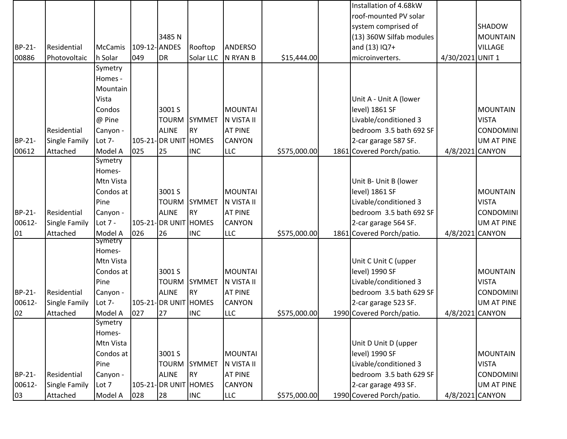|        |                      |                    |               |                       |               |                |              | Installation of 4.68kW    |                  |                  |
|--------|----------------------|--------------------|---------------|-----------------------|---------------|----------------|--------------|---------------------------|------------------|------------------|
|        |                      |                    |               |                       |               |                |              | roof-mounted PV solar     |                  |                  |
|        |                      |                    |               |                       |               |                |              | system comprised of       |                  | SHADOW           |
|        |                      |                    |               | 3485N                 |               |                |              | (13) 360W Silfab modules  |                  | <b>MOUNTAIN</b>  |
| BP-21- | Residential          | <b>McCamis</b>     | 109-12- ANDES |                       | Rooftop       | <b>ANDERSO</b> |              | and (13) IQ7+             |                  | <b>VILLAGE</b>   |
| 00886  | Photovoltaic         | h Solar            | 049           | <b>DR</b>             | Solar LLC     | N RYAN B       | \$15,444.00  | microinverters.           | 4/30/2021 UNIT 1 |                  |
|        |                      | Symetry            |               |                       |               |                |              |                           |                  |                  |
|        |                      | Homes -            |               |                       |               |                |              |                           |                  |                  |
|        |                      | Mountain           |               |                       |               |                |              |                           |                  |                  |
|        |                      | Vista              |               |                       |               |                |              | Unit A - Unit A (lower    |                  |                  |
|        |                      | Condos             |               | 3001 S                |               | <b>MOUNTAI</b> |              | level) 1861 SF            |                  | <b>MOUNTAIN</b>  |
|        |                      | @ Pine             |               | <b>TOURM</b>          | <b>SYMMET</b> | N VISTA II     |              | Livable/conditioned 3     |                  | <b>VISTA</b>     |
|        | Residential          | Canyon -           |               | <b>ALINE</b>          | <b>RY</b>     | <b>AT PINE</b> |              | bedroom 3.5 bath 692 SF   |                  | CONDOMINI        |
| BP-21- | Single Family        | Lot $7-$           |               | 105-21- DR UNIT HOMES |               | <b>CANYON</b>  |              | 2-car garage 587 SF.      |                  | UM AT PINE       |
| 00612  | Attached             | Model A            | 025           | 25                    | <b>INC</b>    | <b>LLC</b>     | \$575,000.00 | 1861 Covered Porch/patio. | 4/8/2021 CANYON  |                  |
|        |                      | Symetry            |               |                       |               |                |              |                           |                  |                  |
|        |                      | Homes-             |               |                       |               |                |              |                           |                  |                  |
|        |                      | Mtn Vista          |               |                       |               |                |              | Unit B- Unit B (lower     |                  |                  |
|        |                      | Condos at          |               | 3001 S                |               | <b>MOUNTAI</b> |              | level) 1861 SF            |                  | <b>MOUNTAIN</b>  |
|        |                      | Pine               |               | <b>TOURM</b>          | <b>SYMMET</b> | N VISTA II     |              | Livable/conditioned 3     |                  | <b>VISTA</b>     |
| BP-21- | Residential          | Canyon -           |               | <b>ALINE</b>          | <b>RY</b>     | <b>AT PINE</b> |              | bedroom 3.5 bath 692 SF   |                  | <b>CONDOMINI</b> |
| 00612- | Single Family        | Lot $7 -$          |               | 105-21- DR UNIT HOMES |               | <b>CANYON</b>  |              | 2-car garage 564 SF.      |                  | UM AT PINE       |
| 01     | Attached             | Model A<br>Symetry | 026           | 26                    | <b>INC</b>    | LLC            | \$575,000.00 | 1861 Covered Porch/patio. | 4/8/2021 CANYON  |                  |
|        |                      | Homes-             |               |                       |               |                |              |                           |                  |                  |
|        |                      | Mtn Vista          |               |                       |               |                |              | Unit C Unit C (upper      |                  |                  |
|        |                      | Condos at          |               | 3001 S                |               | <b>MOUNTAI</b> |              | level) 1990 SF            |                  | <b>MOUNTAIN</b>  |
|        |                      | Pine               |               | <b>TOURM</b>          | <b>SYMMET</b> | N VISTA II     |              | Livable/conditioned 3     |                  | <b>VISTA</b>     |
| BP-21- | Residential          | Canyon -           |               | <b>ALINE</b>          | <b>RY</b>     | <b>AT PINE</b> |              | bedroom 3.5 bath 629 SF   |                  | <b>CONDOMINI</b> |
| 00612- | <b>Single Family</b> | Lot 7-             |               | 105-21- DR UNIT HOMES |               | <b>CANYON</b>  |              | 2-car garage 523 SF.      |                  | UM AT PINE       |
| 02     | Attached             | Model A            | 027           | 27                    | <b>INC</b>    | LLC            | \$575,000.00 | 1990 Covered Porch/patio. | 4/8/2021 CANYON  |                  |
|        |                      | Symetry            |               |                       |               |                |              |                           |                  |                  |
|        |                      | Homes-             |               |                       |               |                |              |                           |                  |                  |
|        |                      | Mtn Vista          |               |                       |               |                |              | Unit D Unit D (upper      |                  |                  |
|        |                      | Condos at          |               | 3001 S                |               | <b>MOUNTAI</b> |              | level) 1990 SF            |                  | <b>MOUNTAIN</b>  |
|        |                      | Pine               |               | <b>TOURM</b>          | <b>SYMMET</b> | N VISTA II     |              | Livable/conditioned 3     |                  | <b>VISTA</b>     |
| BP-21- | Residential          | Canyon -           |               | <b>ALINE</b>          | <b>RY</b>     | <b>AT PINE</b> |              | bedroom 3.5 bath 629 SF   |                  | <b>CONDOMINI</b> |
| 00612- | <b>Single Family</b> | Lot 7              |               | 105-21-DR UNIT HOMES  |               | <b>CANYON</b>  |              | 2-car garage 493 SF.      |                  | UM AT PINE       |
| 03     | Attached             | Model A            | 028           | 28                    | <b>INC</b>    | <b>LLC</b>     | \$575,000.00 | 1990 Covered Porch/patio. | 4/8/2021 CANYON  |                  |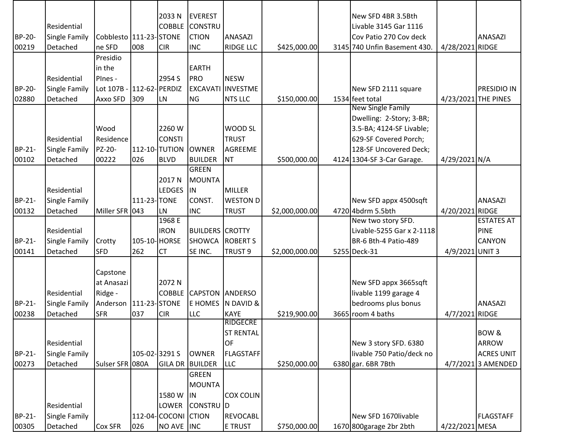|        |                      |                          |               | 2033 N              | <b>EVEREST</b>                 |                          |                | New SFD 4BR 3.5Bth                          |                 |                     |
|--------|----------------------|--------------------------|---------------|---------------------|--------------------------------|--------------------------|----------------|---------------------------------------------|-----------------|---------------------|
|        | Residential          |                          |               | <b>COBBLE</b>       | <b>CONSTRU</b>                 |                          |                | Livable 3145 Gar 1116                       |                 |                     |
| BP-20- | <b>Single Family</b> | Cobblesto   111-23-STONE |               |                     | <b>CTION</b>                   | <b>ANASAZI</b>           |                | Cov Patio 270 Cov deck                      |                 | <b>ANASAZI</b>      |
| 00219  | Detached             | ne SFD                   | 008           | <b>CIR</b>          | <b>INC</b>                     | <b>RIDGE LLC</b>         | \$425,000.00   | 3145 740 Unfin Basement 430.                | 4/28/2021 RIDGE |                     |
|        |                      | Presidio                 |               |                     |                                |                          |                |                                             |                 |                     |
|        |                      | in the                   |               |                     | <b>EARTH</b>                   |                          |                |                                             |                 |                     |
|        |                      | PInes -                  |               |                     | PRO                            | <b>NESW</b>              |                |                                             |                 |                     |
|        | Residential          |                          |               | 2954 S              |                                |                          |                |                                             |                 |                     |
| BP-20- | <b>Single Family</b> | Lot 107B                 |               | 112-62-PERDIZ       |                                | <b>EXCAVATI INVESTME</b> |                | New SFD 2111 square                         |                 | PRESIDIO IN         |
| 02880  | Detached             | Axxo SFD                 | 309           | LN                  | <b>NG</b>                      | <b>NTS LLC</b>           | \$150,000.00   | 1534 feet total<br><b>New Single Family</b> |                 | 4/23/2021 THE PINES |
|        |                      |                          |               |                     |                                |                          |                | Dwelling: 2-Story; 3-BR;                    |                 |                     |
|        |                      | Wood                     |               | 2260 W              |                                | WOOD SL                  |                | 3.5-BA; 4124-SF Livable;                    |                 |                     |
|        | Residential          | Residence                |               | <b>CONSTI</b>       |                                | <b>TRUST</b>             |                | 629-SF Covered Porch;                       |                 |                     |
| BP-21- | <b>Single Family</b> | PZ-20-                   |               | 112-10-TUTION       | <b>OWNER</b>                   | AGREEME                  |                | 128-SF Uncovered Deck;                      |                 |                     |
| 00102  |                      | 00222                    | 026           | <b>BLVD</b>         |                                | <b>NT</b>                |                | 4124 1304-SF 3-Car Garage.                  |                 |                     |
|        | Detached             |                          |               |                     | <b>BUILDER</b><br><b>GREEN</b> |                          | \$500,000.00   |                                             | 4/29/2021 N/A   |                     |
|        |                      |                          |               | 2017 N              | MOUNTA                         |                          |                |                                             |                 |                     |
|        | Residential          |                          |               | <b>LEDGES</b>       | IN.                            | <b>MILLER</b>            |                |                                             |                 |                     |
| BP-21- |                      |                          | 111-23-TONE   |                     | CONST.                         |                          |                |                                             |                 |                     |
|        | <b>Single Family</b> |                          |               |                     |                                | <b>WESTON D</b>          |                | New SFD appx 4500sqft                       |                 | <b>ANASAZI</b>      |
| 00132  | Detached             | Miller SFR 043           |               | LN<br>1968 E        | <b>INC</b>                     | <b>TRUST</b>             | \$2,000,000.00 | 4720 4bdrm 5.5bth<br>New two story SFD.     | 4/20/2021 RIDGE | <b>ESTATES AT</b>   |
|        | Residential          |                          |               | <b>IRON</b>         | <b>BUILDERS CROTTY</b>         |                          |                | Livable-5255 Gar x 2-1118                   |                 | <b>PINE</b>         |
| BP-21- |                      |                          |               |                     |                                | <b>ROBERT S</b>          |                |                                             |                 |                     |
|        | <b>Single Family</b> | Crotty                   | 105-10-HORSE  |                     | <b>SHOWCA</b>                  |                          |                | BR-6 Bth-4 Patio-489                        |                 | CANYON              |
| 00141  | Detached             | <b>SFD</b>               | 262           | <b>CT</b>           | SE INC.                        | TRUST <sub>9</sub>       | \$2,000,000.00 | 5255 Deck-31                                | 4/9/2021 UNIT 3 |                     |
|        |                      |                          |               |                     |                                |                          |                |                                             |                 |                     |
|        |                      | Capstone                 |               |                     |                                |                          |                |                                             |                 |                     |
|        |                      | at Anasazi               |               | 2072 N              |                                |                          |                | New SFD appx 3665sqft                       |                 |                     |
|        | Residential          | Ridge -                  |               | <b>COBBLE</b>       | <b>CAPSTON ANDERSO</b>         |                          |                | livable 1199 garage 4                       |                 |                     |
| BP-21- | <b>Single Family</b> | Anderson   111-23- STONE |               |                     |                                | E HOMES N DAVID &        |                | bedrooms plus bonus                         |                 | <b>ANASAZI</b>      |
| 00238  | Detached             | <b>SFR</b>               | 037           | <b>CIR</b>          | <b>LLC</b>                     | <b>KAYE</b><br>RIDGECRE  | \$219,900.00   | 3665 room 4 baths                           | 4/7/2021 RIDGE  |                     |
|        |                      |                          |               |                     |                                |                          |                |                                             |                 | BOW &               |
|        |                      |                          |               |                     |                                | <b>ST RENTAL</b>         |                |                                             |                 |                     |
|        | Residential          |                          |               |                     |                                | OF                       |                | New 3 story SFD. 6380                       |                 | ARROW               |
| BP-21- | <b>Single Family</b> |                          | 105-02-3291 S |                     | <b>OWNER</b>                   | <b>FLAGSTAFF</b>         |                | livable 750 Patio/deck no                   |                 | <b>ACRES UNIT</b>   |
| 00273  | Detached             | Sulser SFR 080A          |               |                     | GILA DR BUILDER                | <b>LLC</b>               | \$250,000.00   | 6380 gar. 6BR 7Bth                          |                 | 4/7/20213 AMENDED   |
|        |                      |                          |               |                     | <b>GREEN</b>                   |                          |                |                                             |                 |                     |
|        |                      |                          |               |                     | <b>MOUNTA</b>                  |                          |                |                                             |                 |                     |
|        |                      |                          |               | 1580 W              | <b>IN</b>                      | <b>COX COLIN</b>         |                |                                             |                 |                     |
|        | Residential          |                          |               | LOWER               | CONSTRU D                      |                          |                |                                             |                 |                     |
| BP-21- | <b>Single Family</b> |                          |               | 112-04-COCONI CTION |                                | <b>REVOCABL</b>          |                | New SFD 1670livable                         |                 | <b>FLAGSTAFF</b>    |
| 00305  | Detached             | <b>Cox SFR</b>           | 026           | NO AVE INC          |                                | <b>E TRUST</b>           | \$750,000.00   | 1670 800garage 2br 2bth                     | 4/22/2021 MESA  |                     |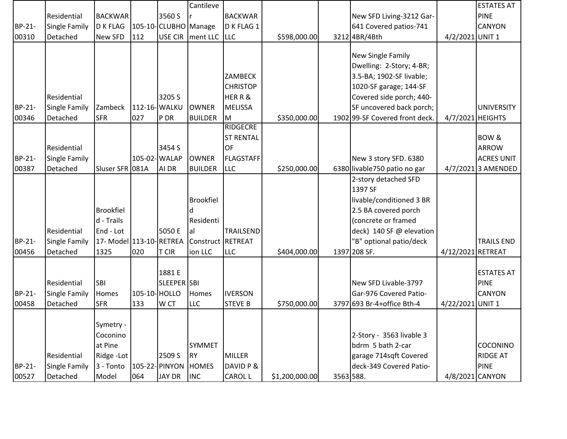|        |                      |                         |               |                      | Cantileve         |                  |                |           |                                |                   | <b>ESTATES AT</b>  |
|--------|----------------------|-------------------------|---------------|----------------------|-------------------|------------------|----------------|-----------|--------------------------------|-------------------|--------------------|
|        | Residential          | <b>BACKWAR</b>          |               | 3560 S               |                   | <b>BACKWAR</b>   |                |           | New SFD Living-3212 Gar-       |                   | <b>PINE</b>        |
| BP-21- | Single Family        | <b>D K FLAG</b>         |               | 105-10-CLUBHO Manage |                   | D K FLAG 1       |                |           | 641 Covered patios-741         |                   | <b>CANYON</b>      |
| 00310  | Detached             | New SFD                 | 112           | <b>USE CIR</b>       | ment LLC LLC      |                  | \$598,000.00   |           | 3212 4BR/4Bth                  | 4/2/2021 UNIT 1   |                    |
|        |                      |                         |               |                      |                   |                  |                |           |                                |                   |                    |
|        |                      |                         |               |                      |                   |                  |                |           | New Single Family              |                   |                    |
|        |                      |                         |               |                      |                   |                  |                |           | Dwelling: 2-Story; 4-BR;       |                   |                    |
|        |                      |                         |               |                      |                   | <b>ZAMBECK</b>   |                |           | 3.5-BA; 1902-SF livable;       |                   |                    |
|        |                      |                         |               |                      |                   | <b>CHRISTOP</b>  |                |           | 1020-SF garage; 144-SF         |                   |                    |
|        | Residential          |                         |               | 3205 S               |                   | HERR&            |                |           | Covered side porch; 440-       |                   |                    |
| BP-21- | Single Family        | Zambeck                 | 112-16-WALKU  |                      | <b>OWNER</b>      | <b>MELISSA</b>   |                |           | SF uncovered back porch;       |                   | <b>UNIVERSITY</b>  |
| 00346  | Detached             | <b>SFR</b>              | 027           | P DR                 | <b>BUILDER</b>    | M                | \$350,000.00   |           | 1902 99-SF Covered front deck. | 4/7/2021 HEIGHTS  |                    |
|        |                      |                         |               |                      |                   | <b>RIDGECRE</b>  |                |           |                                |                   |                    |
|        |                      |                         |               |                      |                   | <b>ST RENTAL</b> |                |           |                                |                   | BOW &              |
|        | Residential          |                         |               | 3454 S               |                   | OF               |                |           |                                |                   | <b>ARROW</b>       |
| BP-21- | Single Family        |                         |               | 105-02-WALAP         | <b>OWNER</b>      | <b>FLAGSTAFF</b> |                |           | New 3 story SFD. 6380          |                   | <b>ACRES UNIT</b>  |
| 00387  | Detached             | Sluser SFR 081A         |               | AI DR                | <b>BUILDER</b>    | <b>LLC</b>       | \$250,000.00   |           | 6380 livable750 patio no gar   |                   | 4/7/2021 3 AMENDED |
|        |                      |                         |               |                      |                   |                  |                |           | 2-story detached SFD           |                   |                    |
|        |                      |                         |               |                      |                   |                  |                |           | 1397 SF                        |                   |                    |
|        |                      |                         |               |                      | <b>Brookfiel</b>  |                  |                |           | livable/conditioned 3 BR       |                   |                    |
|        |                      | <b>Brookfiel</b>        |               |                      |                   |                  |                |           | 2.5 BA covered porch           |                   |                    |
|        |                      | d - Trails              |               |                      | Residenti         |                  |                |           | (concrete or framed            |                   |                    |
|        | Residential          | End - Lot               |               | 5050 E               | lal               | <b>TRAILSEND</b> |                |           | deck) 140 SF @ elevation       |                   |                    |
| BP-21- | Single Family        | 17- Model 113-10-RETREA |               |                      | Construct RETREAT |                  |                |           | 'B" optional patio/deck        |                   | <b>TRAILS END</b>  |
| 00456  | Detached             | 1325                    | 020           | <b>T CIR</b>         | ion LLC           | <b>LLC</b>       | \$404,000.00   |           | 1397 208 SF.                   | 4/12/2021 RETREAT |                    |
|        |                      |                         |               |                      |                   |                  |                |           |                                |                   |                    |
|        |                      |                         |               | 1881 E               |                   |                  |                |           |                                |                   | <b>ESTATES AT</b>  |
|        | Residential          | <b>SBI</b>              |               | SLEEPER SBI          |                   |                  |                |           | New SFD Livable-3797           |                   | <b>PINE</b>        |
| BP-21- | <b>Single Family</b> | Homes                   | 105-10- HOLLO |                      | Homes             | <b>IVERSON</b>   |                |           | Gar-976 Covered Patio-         |                   | <b>CANYON</b>      |
| 00458  | Detached             | <b>SFR</b>              | 133           | W CT                 | <b>LLC</b>        | <b>STEVE B</b>   | \$750,000.00   |           | 3797 693 Br-4+ office Bth-4    | 4/22/2021 UNIT 1  |                    |
|        |                      |                         |               |                      |                   |                  |                |           |                                |                   |                    |
|        |                      | Symetry -               |               |                      |                   |                  |                |           |                                |                   |                    |
|        |                      | Coconino                |               |                      |                   |                  |                |           | 2-Story - 3563 livable 3       |                   |                    |
|        |                      | at Pine                 |               |                      | <b>SYMMET</b>     |                  |                |           | bdrm 5 bath 2-car              |                   | COCONINO           |
|        | Residential          | Ridge - Lot             |               | 2509 S               | <b>RY</b>         | <b>MILLER</b>    |                |           | garage 714sqft Covered         |                   | <b>RIDGE AT</b>    |
| BP-21- | Single Family        | $3 - Tonto$             |               | 105-22- PINYON       | <b>HOMES</b>      | DAVID P &        |                |           | deck-349 Covered Patio-        |                   | <b>PINE</b>        |
| 00527  | Detached             | Model                   | 064           | JAY DR               | <b>INC</b>        | <b>CAROL L</b>   | \$1,200,000.00 | 3563 588. |                                | 4/8/2021 CANYON   |                    |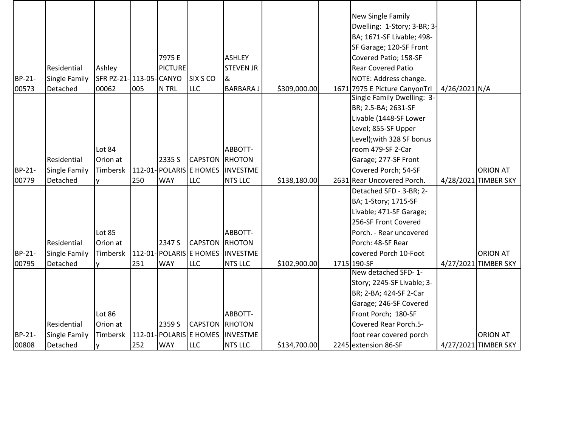|        |                      |                        |     |                |                       |                                  |              | New Single Family             |               |                      |
|--------|----------------------|------------------------|-----|----------------|-----------------------|----------------------------------|--------------|-------------------------------|---------------|----------------------|
|        |                      |                        |     |                |                       |                                  |              | Dwelling: 1-Story; 3-BR; 3-   |               |                      |
|        |                      |                        |     |                |                       |                                  |              | BA; 1671-SF Livable; 498-     |               |                      |
|        |                      |                        |     |                |                       |                                  |              | SF Garage; 120-SF Front       |               |                      |
|        |                      |                        |     | 7975 E         |                       | <b>ASHLEY</b>                    |              | Covered Patio; 158-SF         |               |                      |
|        | Residential          | Ashley                 |     | <b>PICTURE</b> |                       | <b>STEVEN JR</b>                 |              | <b>Rear Covered Patio</b>     |               |                      |
| BP-21- | Single Family        | SFR PZ-21-113-05-CANYO |     |                | <b>SIX S CO</b>       | 8                                |              | NOTE: Address change.         |               |                      |
| 00573  | Detached             | 00062                  | 005 | N TRL          | <b>LLC</b>            | <b>BARBARAJ</b>                  | \$309,000.00 | 1671 7975 E Picture CanyonTrl | 4/26/2021 N/A |                      |
|        |                      |                        |     |                |                       |                                  |              | Single Family Dwelling: 3-    |               |                      |
|        |                      |                        |     |                |                       |                                  |              | BR; 2.5-BA; 2631-SF           |               |                      |
|        |                      |                        |     |                |                       |                                  |              | Livable (1448-SF Lower        |               |                      |
|        |                      |                        |     |                |                       |                                  |              | Level; 855-SF Upper           |               |                      |
|        |                      |                        |     |                |                       |                                  |              | Level); with 328 SF bonus     |               |                      |
|        |                      | Lot 84                 |     |                |                       | ABBOTT-                          |              | room 479-SF 2-Car             |               |                      |
|        | Residential          | Orion at               |     | 2335 S         | <b>CAPSTON RHOTON</b> |                                  |              | Garage; 277-SF Front          |               |                      |
| BP-21- | Single Family        | Timbersk               |     |                |                       | 112-01-POLARIS E HOMES INVESTME  |              | Covered Porch; 54-SF          |               | <b>ORION AT</b>      |
| 00779  | Detached             | v                      | 250 | <b>WAY</b>     | <b>LLC</b>            | <b>NTS LLC</b>                   | \$138,180.00 | 2631 Rear Uncovered Porch.    |               | 4/28/2021 TIMBER SKY |
|        |                      |                        |     |                |                       |                                  |              | Detached SFD - 3-BR; 2-       |               |                      |
|        |                      |                        |     |                |                       |                                  |              | BA; 1-Story; 1715-SF          |               |                      |
|        |                      |                        |     |                |                       |                                  |              | Livable; 471-SF Garage;       |               |                      |
|        |                      |                        |     |                |                       |                                  |              | 256-SF Front Covered          |               |                      |
|        |                      | <b>Lot 85</b>          |     |                |                       | ABBOTT-                          |              | Porch. - Rear uncovered       |               |                      |
|        | Residential          | Orion at               |     | 2347 S         | <b>CAPSTON RHOTON</b> |                                  |              | Porch: 48-SF Rear             |               |                      |
| BP-21- | Single Family        | Timbersk               |     |                |                       | 112-01-POLARIS E HOMES INVESTME  |              | covered Porch 10-Foot         |               | <b>ORION AT</b>      |
| 00795  | Detached             | v                      | 251 | <b>WAY</b>     | <b>LLC</b>            | <b>NTS LLC</b>                   | \$102,900.00 | 1715 190-SF                   |               | 4/27/2021 TIMBER SKY |
|        |                      |                        |     |                |                       |                                  |              | New detached SFD-1-           |               |                      |
|        |                      |                        |     |                |                       |                                  |              | Story; 2245-SF Livable; 3-    |               |                      |
|        |                      |                        |     |                |                       |                                  |              | BR; 2-BA; 424-SF 2-Car        |               |                      |
|        |                      |                        |     |                |                       |                                  |              | Garage; 246-SF Covered        |               |                      |
|        |                      | <b>Lot 86</b>          |     |                |                       | ABBOTT-                          |              | Front Porch; 180-SF           |               |                      |
|        | Residential          | Orion at               |     | 2359 S         | <b>CAPSTON RHOTON</b> |                                  |              | Covered Rear Porch.5-         |               |                      |
| BP-21- | <b>Single Family</b> | Timbersk               |     |                |                       | 112-01- POLARIS E HOMES INVESTME |              | foot rear covered porch       |               | <b>ORION AT</b>      |
| 00808  | Detached             | I۷                     | 252 | <b>WAY</b>     | <b>LLC</b>            | <b>NTS LLC</b>                   | \$134,700.00 | 2245 extension 86-SF          |               | 4/27/2021 TIMBER SKY |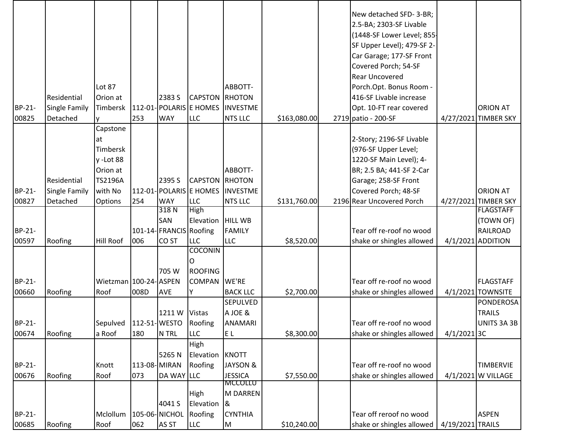|        |                      |                                    |              |                         |                              |                 |              | New detached SFD-3-BR;<br>2.5-BA; 2303-SF Livable |                  |                      |
|--------|----------------------|------------------------------------|--------------|-------------------------|------------------------------|-----------------|--------------|---------------------------------------------------|------------------|----------------------|
|        |                      |                                    |              |                         |                              |                 |              | (1448-SF Lower Level; 855-                        |                  |                      |
|        |                      |                                    |              |                         |                              |                 |              | SF Upper Level); 479-SF 2-                        |                  |                      |
|        |                      |                                    |              |                         |                              |                 |              | Car Garage; 177-SF Front                          |                  |                      |
|        |                      |                                    |              |                         |                              |                 |              | Covered Porch; 54-SF                              |                  |                      |
|        |                      |                                    |              |                         |                              |                 |              | Rear Uncovered                                    |                  |                      |
|        |                      | Lot 87                             |              |                         |                              | ABBOTT-         |              | Porch.Opt. Bonus Room -                           |                  |                      |
|        | Residential          | Orion at                           |              | 2383 S                  | <b>CAPSTON</b>               | RHOTON          |              | 416-SF Livable increase                           |                  |                      |
| BP-21- |                      | Timbersk                           |              |                         | 112-01- POLARIS E HOMES      | <b>INVESTME</b> |              |                                                   |                  | <b>ORION AT</b>      |
| 00825  | <b>Single Family</b> |                                    | 253          | <b>WAY</b>              | <b>LLC</b>                   | <b>NTS LLC</b>  | \$163,080.00 | Opt. 10-FT rear covered                           |                  |                      |
|        | Detached             | V                                  |              |                         |                              |                 |              | 2719 patio - 200-SF                               |                  | 4/27/2021 TIMBER SKY |
|        |                      | Capstone                           |              |                         |                              |                 |              |                                                   |                  |                      |
|        |                      | at                                 |              |                         |                              |                 |              | 2-Story; 2196-SF Livable                          |                  |                      |
|        |                      | Timbersk                           |              |                         |                              |                 |              | (976-SF Upper Level;                              |                  |                      |
|        |                      | y-Lot 88                           |              |                         |                              |                 |              | 1220-SF Main Level); 4-                           |                  |                      |
|        |                      | Orion at                           |              |                         |                              | ABBOTT-         |              | BR; 2.5 BA; 441-SF 2-Car                          |                  |                      |
|        | Residential          | <b>TS2196A</b>                     |              | 2395 S                  | <b>CAPSTON</b>               | RHOTON          |              | Garage; 258-SF Front                              |                  |                      |
| BP-21- | <b>Single Family</b> | with No                            |              |                         | 112-01- POLARIS E HOMES      | <b>INVESTME</b> |              | Covered Porch; 48-SF                              |                  | <b>ORION AT</b>      |
| 00827  | Detached             | <b>Options</b>                     | 254          | <b>WAY</b>              | <b>LLC</b>                   | <b>NTS LLC</b>  | \$131,760.00 | 2196 Rear Uncovered Porch                         |                  | 4/27/2021 TIMBER SKY |
|        |                      |                                    |              | 318N                    | <b>High</b>                  |                 |              |                                                   |                  | <b>FLAGSTAFF</b>     |
|        |                      |                                    |              | SAN                     | Elevation                    | <b>HILL WB</b>  |              |                                                   |                  | (TOWN OF)            |
| BP-21- |                      |                                    |              | 101-14- FRANCIS Roofing |                              | <b>FAMILY</b>   |              | Tear off re-roof no wood                          |                  | RAILROAD             |
| 00597  | Roofing              | Hill Roof                          | 006          | CO <sub>ST</sub>        | <b>LLC</b><br><b>COCONIN</b> | <b>LLC</b>      | \$8,520.00   | shake or shingles allowed                         |                  | 4/1/2021 ADDITION    |
|        |                      |                                    |              |                         |                              |                 |              |                                                   |                  |                      |
|        |                      |                                    |              |                         | O                            |                 |              |                                                   |                  |                      |
|        |                      |                                    |              | 705 W                   | <b>ROOFING</b>               |                 |              |                                                   |                  |                      |
| BP-21- |                      | Wietzman 100-24- ASPEN             |              |                         | <b>COMPAN</b>                | WE'RE           |              | Tear off re-roof no wood                          |                  | <b>FLAGSTAFF</b>     |
| 00660  | Roofing              | Roof                               | 008D         | AVE                     | Y                            | <b>BACK LLC</b> | \$2,700.00   | shake or shingles allowed                         |                  | 4/1/2021 TOWNSITE    |
|        |                      |                                    |              |                         |                              | <b>SEPULVED</b> |              |                                                   |                  | <b>PONDEROSA</b>     |
|        |                      |                                    |              | 1211 W                  | Vistas                       | A JOE &         |              |                                                   |                  | <b>TRAILS</b>        |
| BP-21- |                      | Sepulved   112-51- WESTO   Roofing |              |                         |                              | <b>ANAMARI</b>  |              | Tear off re-roof no wood                          |                  | UNITS 3A 3B          |
| 00674  | Roofing              | a Roof                             | 180          | N TRL                   | <b>LLC</b>                   | EL              | \$8,300.00   | shake or shingles allowed                         | $4/1/2021$ 3C    |                      |
|        |                      |                                    |              |                         | High                         |                 |              |                                                   |                  |                      |
|        |                      |                                    |              | 5265N                   | Elevation                    | <b>KNOTT</b>    |              |                                                   |                  |                      |
| BP-21- |                      | Knott                              | 113-08-MIRAN |                         | Roofing                      | JAYSON &        |              | Tear off re-roof no wood                          |                  | <b>TIMBERVIE</b>     |
| 00676  | Roofing              | Roof                               | 073          | DA WAY LLC              |                              | <b>JESSICA</b>  | \$7,550.00   | shake or shingles allowed                         |                  | 4/1/2021 W VILLAGE   |
|        |                      |                                    |              |                         |                              | <b>MCCOLLU</b>  |              |                                                   |                  |                      |
|        |                      |                                    |              |                         | <b>High</b>                  | <b>M DARREN</b> |              |                                                   |                  |                      |
|        |                      |                                    |              | 4041 S                  | Elevation                    | 8               |              |                                                   |                  |                      |
| BP-21- |                      | Mclollum                           |              | 105-06-NICHOL           | Roofing                      | <b>CYNTHIA</b>  |              | Tear off reroof no wood                           |                  | <b>ASPEN</b>         |
| 00685  | Roofing              | Roof                               | 062          | AS ST                   | <b>LLC</b>                   | M               | \$10,240.00  | shake or shingles allowed                         | 4/19/2021 TRAILS |                      |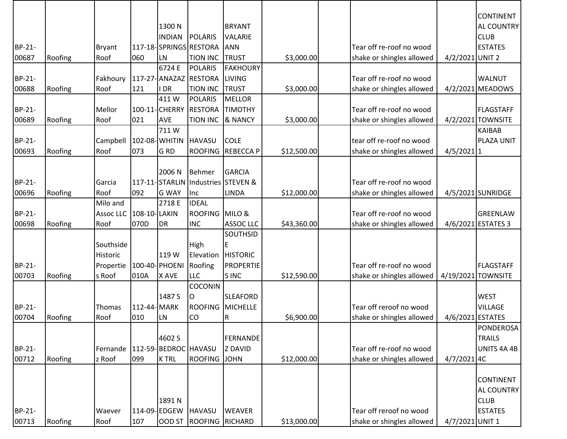|        |         |                  |              |                      |                                    |                  |             |                           |                  | <b>CONTINENT</b>   |
|--------|---------|------------------|--------------|----------------------|------------------------------------|------------------|-------------|---------------------------|------------------|--------------------|
|        |         |                  |              | 1300N                |                                    | <b>BRYANT</b>    |             |                           |                  | AL COUNTRY         |
|        |         |                  |              | <b>INDIAN</b>        | <b>POLARIS</b>                     | VALARIE          |             |                           |                  | <b>CLUB</b>        |
| BP-21- |         | <b>Bryant</b>    |              |                      | 117-18-SPRINGS RESTORA             | <b>ANN</b>       |             | Tear off re-roof no wood  |                  | <b>ESTATES</b>     |
| 00687  | Roofing | Roof             | 060          | LN                   | <b>TION INC</b>                    | <b>TRUST</b>     | \$3,000.00  | shake or shingles allowed | 4/2/2021 UNIT 2  |                    |
|        |         |                  |              | 6724 E               | <b>POLARIS</b>                     | <b>FAKHOURY</b>  |             |                           |                  |                    |
| BP-21- |         | Fakhoury         |              |                      | 117-27- ANAZAZ RESTORA             | LIVING           |             | Tear off re-roof no wood  |                  | <b>WALNUT</b>      |
| 00688  | Roofing | Roof             | 121          | I DR                 | <b>TION INC</b>                    | <b>TRUST</b>     | \$3,000.00  | shake or shingles allowed |                  | 4/2/2021 MEADOWS   |
|        |         |                  |              | 411W                 | <b>POLARIS</b>                     | <b>MELLOR</b>    |             |                           |                  |                    |
| BP-21- |         | Mellor           |              |                      | 100-11-CHERRY RESTORA              | <b>TIMOTHY</b>   |             | Tear off re-roof no wood  |                  | <b>FLAGSTAFF</b>   |
| 00689  | Roofing | Roof             | 021          | <b>AVE</b>           | <b>TION INC</b>                    | & NANCY          | \$3,000.00  | shake or shingles allowed |                  | 4/2/2021 TOWNSITE  |
|        |         |                  |              | 711W                 |                                    |                  |             |                           |                  | <b>KAIBAB</b>      |
| BP-21- |         | Campbell         |              | 102-08- WHITIN       | <b>HAVASU</b>                      | <b>COLE</b>      |             | tear off re-roof no wood  |                  | PLAZA UNIT         |
| 00693  | Roofing | Roof             | 073          | G <sub>RD</sub>      | <b>ROOFING</b>                     | <b>REBECCAP</b>  | \$12,500.00 | shake or shingles allowed | $4/5/2021$ 1     |                    |
|        |         |                  |              |                      |                                    |                  |             |                           |                  |                    |
|        |         |                  |              | 2006 N               | Behmer                             | <b>GARCIA</b>    |             |                           |                  |                    |
| BP-21- |         | Garcia           |              |                      | 117-11-STARLIN Industries STEVEN & |                  |             | Tear off re-roof no wood  |                  |                    |
| 00696  | Roofing | Roof             | 092          | <b>G WAY</b>         | Inc                                | <b>LINDA</b>     | \$12,000.00 | shake or shingles allowed |                  | 4/5/2021 SUNRIDGE  |
|        |         | Milo and         |              | 2718 E               | <b>IDEAL</b>                       |                  |             |                           |                  |                    |
| BP-21- |         | <b>Assoc LLC</b> | 108-10-LAKIN |                      | ROOFING MILO &                     |                  |             | Tear off re-roof no wood  |                  | GREENLAW           |
| 00698  | Roofing | Roof             | 070D         | DR                   | <b>INC</b>                         | <b>ASSOC LLC</b> | \$43,360.00 | shake or shingles allowed |                  | 4/6/2021 ESTATES 3 |
|        |         |                  |              |                      |                                    | SOUTHSID         |             |                           |                  |                    |
|        |         | Southside        |              |                      | High                               | Ε                |             |                           |                  |                    |
|        |         | Historic         |              | 119 W                | Elevation                          | <b>HISTORIC</b>  |             |                           |                  |                    |
| BP-21- |         | Propertie        |              | 100-40- PHOENI       | Roofing                            | <b>PROPERTIE</b> |             | Tear off re-roof no wood  |                  | <b>FLAGSTAFF</b>   |
| 00703  | Roofing | s Roof           | 010A         | X AVE                | <b>LLC</b>                         | S INC            | \$12,590.00 | shake or shingles allowed | 4/19/2021        | <b>TOWNSITE</b>    |
|        |         |                  |              |                      | <b>COCONIN</b>                     |                  |             |                           |                  |                    |
|        |         |                  |              | 1487 S               | 0                                  | <b>SLEAFORD</b>  |             |                           |                  | <b>WEST</b>        |
| BP-21- |         | Thomas           | 112-44- MARK |                      | <b>ROOFING</b>                     | <b>MICHELLE</b>  |             | Tear off reroof no wood   |                  | <b>VILLAGE</b>     |
| 00704  | Roofing | Roof             | 010          | LN                   | CO                                 | R                | \$6,900.00  | shake or shingles allowed | 4/6/2021 ESTATES |                    |
|        |         |                  |              |                      |                                    |                  |             |                           |                  | PONDEROSA          |
|        |         |                  |              | 4602 S               |                                    | <b>FERNANDE</b>  |             |                           |                  | <b>TRAILS</b>      |
| BP-21- |         | Fernande         |              | 112-59-BEDROC HAVASU |                                    | <b>Z DAVID</b>   |             | Tear off re-roof no wood  |                  | UNITS 4A 4B        |
| 00712  | Roofing | z Roof           | 099          | <b>KTRL</b>          | <b>ROOFING</b>                     | <b>JOHN</b>      | \$12,000.00 | shake or shingles allowed | 4/7/2021 4C      |                    |
|        |         |                  |              |                      |                                    |                  |             |                           |                  |                    |
|        |         |                  |              |                      |                                    |                  |             |                           |                  | <b>CONTINENT</b>   |
|        |         |                  |              |                      |                                    |                  |             |                           |                  | AL COUNTRY         |
|        |         |                  |              | 1891N                |                                    |                  |             |                           |                  | <b>CLUB</b>        |
| BP-21- |         | Waever           |              | 114-09-EDGEW         | <b>HAVASU</b>                      | <b>WEAVER</b>    |             | Tear off reroof no wood   |                  | <b>ESTATES</b>     |
| 00713  | Roofing | Roof             | 107          |                      | OOD ST ROOFING RICHARD             |                  | \$13,000.00 | shake or shingles allowed | 4/7/2021 UNIT 1  |                    |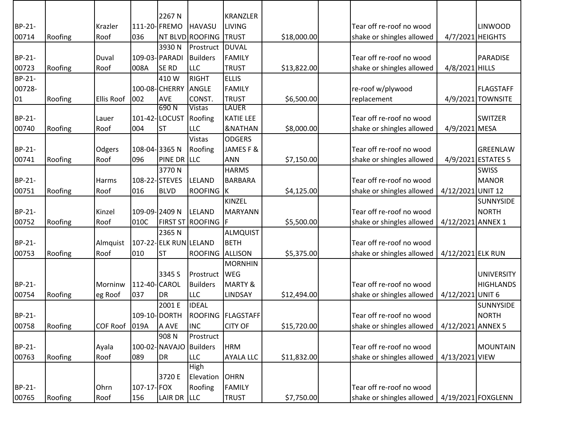|                                                                          |                                          |                                                           |                                                                 | 2267 N                                                               |                                                                                                                               | <b>KRANZLER</b>                                                                                                                                |                                                         |                                                                                                                                                                                                        |                                                         |                                                                           |
|--------------------------------------------------------------------------|------------------------------------------|-----------------------------------------------------------|-----------------------------------------------------------------|----------------------------------------------------------------------|-------------------------------------------------------------------------------------------------------------------------------|------------------------------------------------------------------------------------------------------------------------------------------------|---------------------------------------------------------|--------------------------------------------------------------------------------------------------------------------------------------------------------------------------------------------------------|---------------------------------------------------------|---------------------------------------------------------------------------|
| BP-21-                                                                   |                                          | Krazler                                                   |                                                                 | 111-20-FREMO                                                         | <b>HAVASU</b>                                                                                                                 | <b>LIVING</b>                                                                                                                                  |                                                         | Tear off re-roof no wood                                                                                                                                                                               |                                                         | <b>LINWOOD</b>                                                            |
| 00714                                                                    | Roofing                                  | Roof                                                      | 036                                                             |                                                                      | NT BLVD ROOFING                                                                                                               | <b>TRUST</b>                                                                                                                                   | \$18,000.00                                             | shake or shingles allowed                                                                                                                                                                              | 4/7/2021 HEIGHTS                                        |                                                                           |
|                                                                          |                                          |                                                           |                                                                 | 3930N                                                                | Prostruct                                                                                                                     | <b>DUVAL</b>                                                                                                                                   |                                                         |                                                                                                                                                                                                        |                                                         |                                                                           |
| BP-21-                                                                   |                                          | Duval                                                     |                                                                 | 109-03- PARADI                                                       | <b>Builders</b>                                                                                                               | <b>FAMILY</b>                                                                                                                                  |                                                         | Tear off re-roof no wood                                                                                                                                                                               |                                                         | <b>PARADISE</b>                                                           |
| 00723                                                                    | Roofing                                  | Roof                                                      | 008A                                                            | <b>SE RD</b>                                                         | <b>LLC</b>                                                                                                                    | <b>TRUST</b>                                                                                                                                   | \$13,822.00                                             | shake or shingles allowed                                                                                                                                                                              | 4/8/2021 HILLS                                          |                                                                           |
| BP-21-                                                                   |                                          |                                                           |                                                                 | 410W                                                                 | <b>RIGHT</b>                                                                                                                  | <b>ELLIS</b>                                                                                                                                   |                                                         |                                                                                                                                                                                                        |                                                         |                                                                           |
| 00728-                                                                   |                                          |                                                           |                                                                 | 100-08-CHERRY                                                        | ANGLE                                                                                                                         | <b>FAMILY</b>                                                                                                                                  |                                                         | re-roof w/plywood                                                                                                                                                                                      |                                                         | <b>FLAGSTAFF</b>                                                          |
| 01                                                                       | Roofing                                  | <b>Ellis Roof</b>                                         | 002                                                             | <b>AVE</b>                                                           | CONST.                                                                                                                        | <b>TRUST</b>                                                                                                                                   | \$6,500.00                                              | replacement                                                                                                                                                                                            |                                                         | 4/9/2021 TOWNSITE                                                         |
|                                                                          |                                          |                                                           |                                                                 | 690N                                                                 | <b>Vistas</b>                                                                                                                 | <b>LAUER</b>                                                                                                                                   |                                                         |                                                                                                                                                                                                        |                                                         |                                                                           |
| BP-21-                                                                   |                                          | Lauer                                                     |                                                                 | 101-42-LOCUST                                                        | Roofing                                                                                                                       | <b>KATIE LEE</b>                                                                                                                               |                                                         | Tear off re-roof no wood                                                                                                                                                                               |                                                         | <b>SWITZER</b>                                                            |
| 00740                                                                    | Roofing                                  | Roof                                                      | 004                                                             | <b>ST</b>                                                            | <b>LLC</b>                                                                                                                    | <b>&amp;NATHAN</b>                                                                                                                             | \$8,000.00                                              | shake or shingles allowed                                                                                                                                                                              | 4/9/2021 MESA                                           |                                                                           |
|                                                                          |                                          |                                                           |                                                                 |                                                                      | <b>Vistas</b>                                                                                                                 | <b>ODGERS</b>                                                                                                                                  |                                                         |                                                                                                                                                                                                        |                                                         |                                                                           |
| BP-21-                                                                   |                                          | Odgers                                                    | 108-04-3365N                                                    |                                                                      | Roofing                                                                                                                       | JAMES F &                                                                                                                                      |                                                         | Tear off re-roof no wood                                                                                                                                                                               |                                                         | <b>GREENLAW</b>                                                           |
| 00741                                                                    | Roofing                                  | Roof                                                      | 096                                                             | PINE DR LLC                                                          |                                                                                                                               | <b>ANN</b>                                                                                                                                     | \$7,150.00                                              | shake or shingles allowed                                                                                                                                                                              |                                                         | 4/9/2021 ESTATES 5                                                        |
|                                                                          |                                          |                                                           |                                                                 | 3770N                                                                |                                                                                                                               | <b>HARMS</b>                                                                                                                                   |                                                         |                                                                                                                                                                                                        |                                                         | <b>SWISS</b>                                                              |
| BP-21-                                                                   |                                          | Harms                                                     | 108-22-STEVES                                                   |                                                                      | <b>LELAND</b>                                                                                                                 | <b>BARBARA</b>                                                                                                                                 |                                                         | Tear off re-roof no wood                                                                                                                                                                               |                                                         | <b>MANOR</b>                                                              |
| 00751                                                                    | Roofing                                  | Roof                                                      | 016                                                             | <b>BLVD</b>                                                          | ROOFING K                                                                                                                     |                                                                                                                                                | \$4,125.00                                              | shake or shingles allowed                                                                                                                                                                              | 4/12/2021 UNIT 12                                       |                                                                           |
|                                                                          |                                          |                                                           |                                                                 |                                                                      |                                                                                                                               | KINZEL                                                                                                                                         |                                                         |                                                                                                                                                                                                        |                                                         | <b>SUNNYSIDE</b>                                                          |
| BP-21-                                                                   |                                          | Kinzel                                                    | 109-09-2409 N                                                   |                                                                      | LELAND                                                                                                                        | <b>MARYANN</b>                                                                                                                                 |                                                         | Tear off re-roof no wood                                                                                                                                                                               |                                                         | <b>NORTH</b>                                                              |
| 00752                                                                    | Roofing                                  | Roof                                                      | 010C                                                            | <b>FIRST ST</b>                                                      | <b>ROOFING</b>                                                                                                                | -lF                                                                                                                                            | \$5,500.00                                              | shake or shingles allowed                                                                                                                                                                              | 4/12/2021 ANNEX 1                                       |                                                                           |
|                                                                          |                                          |                                                           |                                                                 | 2365N                                                                |                                                                                                                               | ALMQUIST                                                                                                                                       |                                                         |                                                                                                                                                                                                        |                                                         |                                                                           |
| BP-21-                                                                   |                                          | Almquist                                                  |                                                                 | 107-22-ELK RUN LELAND                                                |                                                                                                                               | <b>BETH</b>                                                                                                                                    |                                                         | Tear off re-roof no wood                                                                                                                                                                               |                                                         |                                                                           |
| 00753                                                                    | Roofing                                  | Roof                                                      | 010                                                             | <b>ST</b>                                                            | <b>ROOFING</b>                                                                                                                | <b>ALLISON</b>                                                                                                                                 | \$5,375.00                                              | shake or shingles allowed                                                                                                                                                                              | 4/12/2021 ELK RUN                                       |                                                                           |
|                                                                          |                                          |                                                           |                                                                 |                                                                      |                                                                                                                               | <b>MORNHIN</b>                                                                                                                                 |                                                         |                                                                                                                                                                                                        |                                                         |                                                                           |
|                                                                          |                                          |                                                           |                                                                 | 3345 S                                                               | Prostruct WEG                                                                                                                 |                                                                                                                                                |                                                         |                                                                                                                                                                                                        |                                                         | <b>UNIVERSITY</b>                                                         |
|                                                                          |                                          | Morninw                                                   |                                                                 |                                                                      | <b>Builders</b>                                                                                                               | <b>MARTY &amp;</b>                                                                                                                             |                                                         | Tear off re-roof no wood                                                                                                                                                                               |                                                         | <b>HIGHLANDS</b>                                                          |
|                                                                          |                                          |                                                           |                                                                 |                                                                      |                                                                                                                               |                                                                                                                                                |                                                         |                                                                                                                                                                                                        |                                                         |                                                                           |
|                                                                          |                                          |                                                           |                                                                 | 2001 E                                                               |                                                                                                                               |                                                                                                                                                |                                                         |                                                                                                                                                                                                        |                                                         |                                                                           |
|                                                                          |                                          |                                                           |                                                                 |                                                                      |                                                                                                                               |                                                                                                                                                |                                                         |                                                                                                                                                                                                        |                                                         |                                                                           |
|                                                                          |                                          |                                                           |                                                                 |                                                                      |                                                                                                                               |                                                                                                                                                |                                                         |                                                                                                                                                                                                        |                                                         |                                                                           |
|                                                                          |                                          |                                                           |                                                                 |                                                                      |                                                                                                                               |                                                                                                                                                |                                                         |                                                                                                                                                                                                        |                                                         |                                                                           |
|                                                                          |                                          |                                                           |                                                                 |                                                                      |                                                                                                                               |                                                                                                                                                |                                                         |                                                                                                                                                                                                        |                                                         |                                                                           |
|                                                                          |                                          |                                                           |                                                                 |                                                                      |                                                                                                                               |                                                                                                                                                |                                                         |                                                                                                                                                                                                        |                                                         |                                                                           |
|                                                                          |                                          |                                                           |                                                                 |                                                                      |                                                                                                                               |                                                                                                                                                |                                                         |                                                                                                                                                                                                        |                                                         |                                                                           |
|                                                                          |                                          |                                                           |                                                                 |                                                                      |                                                                                                                               |                                                                                                                                                |                                                         |                                                                                                                                                                                                        |                                                         |                                                                           |
|                                                                          |                                          |                                                           |                                                                 |                                                                      |                                                                                                                               |                                                                                                                                                |                                                         |                                                                                                                                                                                                        |                                                         |                                                                           |
|                                                                          |                                          |                                                           |                                                                 |                                                                      |                                                                                                                               |                                                                                                                                                |                                                         |                                                                                                                                                                                                        |                                                         |                                                                           |
| BP-21-<br>00754<br>BP-21-<br>00758<br>BP-21-<br>00763<br>BP-21-<br>00765 | Roofing<br>Roofing<br>Roofing<br>Roofing | eg Roof<br>COF Roof 019A<br>Ayala<br>Roof<br>Ohrn<br>Roof | 112-40-CAROL<br>037<br>109-10-DORTH<br>089<br>107-17-FOX<br>156 | DR<br>A AVE<br>908N<br>100-02- NAVAJO<br>DR<br>3720 E<br>LAIR DR LLC | <b>LLC</b><br><b>IDEAL</b><br><b>INC</b><br>Prostruct<br><b>Builders</b><br><b>LLC</b><br><b>High</b><br>Elevation<br>Roofing | <b>LINDSAY</b><br><b>ROOFING FLAGSTAFF</b><br><b>CITY OF</b><br><b>HRM</b><br><b>AYALA LLC</b><br><b>OHRN</b><br><b>FAMILY</b><br><b>TRUST</b> | \$12,494.00<br>\$15,720.00<br>\$11,832.00<br>\$7,750.00 | shake or shingles allowed<br>Tear off re-roof no wood<br>shake or shingles allowed  <br>Tear off re-roof no wood<br>shake or shingles allowed<br>Tear off re-roof no wood<br>shake or shingles allowed | 4/12/2021 UNIT 6<br>4/12/2021 ANNEX 5<br>4/13/2021 VIEW | <b>SUNNYSIDE</b><br><b>NORTH</b><br><b>MOUNTAIN</b><br>4/19/2021 FOXGLENN |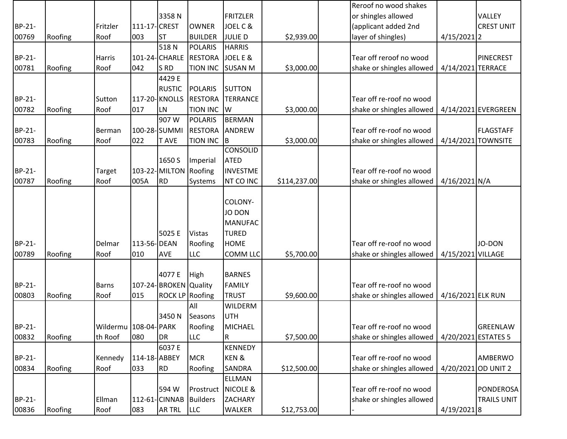|        |         |                         |              |                       |                 |                         |              | Reroof no wood shakes     |                     |                     |
|--------|---------|-------------------------|--------------|-----------------------|-----------------|-------------------------|--------------|---------------------------|---------------------|---------------------|
|        |         |                         |              | 3358N                 |                 | FRITZLER                |              | or shingles allowed       |                     | VALLEY              |
| BP-21- |         | Fritzler                | 111-17-CREST |                       | <b>OWNER</b>    | JOEL C &                |              | (applicant added 2nd      |                     | <b>CREST UNIT</b>   |
| 00769  | Roofing | Roof                    | 003          | <b>ST</b>             | <b>BUILDER</b>  | <b>JULIED</b>           | \$2,939.00   | layer of shingles)        | $4/15/2021$  2      |                     |
|        |         |                         |              | 518N                  | <b>POLARIS</b>  | <b>HARRIS</b>           |              |                           |                     |                     |
| BP-21- |         | <b>Harris</b>           |              | 101-24- CHARLE        | <b>RESTORA</b>  | JOEL E &                |              | Tear off reroof no wood   |                     | <b>PINECREST</b>    |
| 00781  | Roofing | Roof                    | 042          | S <sub>RD</sub>       | <b>TION INC</b> | <b>SUSAN M</b>          | \$3,000.00   | shake or shingles allowed | 4/14/2021 TERRACE   |                     |
|        |         |                         |              | 4429 E                |                 |                         |              |                           |                     |                     |
|        |         |                         |              | <b>RUSTIC</b>         | <b>POLARIS</b>  | <b>SUTTON</b>           |              |                           |                     |                     |
| BP-21- |         | Sutton                  |              | 117-20-KNOLLS         | <b>RESTORA</b>  | <b>TERRANCE</b>         |              | Tear off re-roof no wood  |                     |                     |
| 00782  | Roofing | Roof                    | 017          | LN                    | <b>TION INC</b> | W                       | \$3,000.00   | shake or shingles allowed |                     | 4/14/2021 EVERGREEN |
|        |         |                         |              | 907W                  | <b>POLARIS</b>  | <b>BERMAN</b>           |              |                           |                     |                     |
| BP-21- |         | Berman                  |              | 100-28-SUMMI          | <b>RESTORA</b>  | ANDREW                  |              | Tear off re-roof no wood  |                     | <b>FLAGSTAFF</b>    |
| 00783  | Roofing | Roof                    | 022          | <b>TAVE</b>           | <b>TION INC</b> | B                       | \$3,000.00   | shake or shingles allowed | 4/14/2021 TOWNSITE  |                     |
|        |         |                         |              |                       |                 | <b>CONSOLID</b>         |              |                           |                     |                     |
|        |         |                         |              | 1650 S                | Imperial        | <b>ATED</b>             |              |                           |                     |                     |
| BP-21- |         | Target                  |              | 103-22-MILTON         | Roofing         | <b>INVESTME</b>         |              | Tear off re-roof no wood  |                     |                     |
| 00787  | Roofing | Roof                    | 005A         | <b>RD</b>             | Systems         | <b>NT CO INC</b>        | \$114,237.00 | shake or shingles allowed | $4/16/2021$ N/A     |                     |
|        |         |                         |              |                       |                 |                         |              |                           |                     |                     |
|        |         |                         |              |                       |                 | COLONY-                 |              |                           |                     |                     |
|        |         |                         |              |                       |                 | <b>JO DON</b>           |              |                           |                     |                     |
|        |         |                         |              |                       |                 | <b>MANUFAC</b>          |              |                           |                     |                     |
|        |         |                         |              | 5025 E                | <b>Vistas</b>   | <b>TURED</b>            |              |                           |                     |                     |
| BP-21- |         | Delmar                  | 113-56-DEAN  |                       | Roofing         | <b>HOME</b>             |              | Tear off re-roof no wood  |                     | JO-DON              |
| 00789  | Roofing | Roof                    | 010          | AVE                   | <b>LLC</b>      | <b>COMM LLC</b>         | \$5,700.00   | shake or shingles allowed | 4/15/2021 VILLAGE   |                     |
|        |         |                         |              |                       |                 |                         |              |                           |                     |                     |
|        |         |                         |              | 4077 E                | High            | <b>BARNES</b>           |              |                           |                     |                     |
| BP-21- |         | <b>Barns</b>            |              | 107-24-BROKEN Quality |                 | <b>FAMILY</b>           |              | Tear off re-roof no wood  |                     |                     |
| 00803  | Roofing | Roof                    | 015          | ROCK LP Roofing       |                 | <b>TRUST</b>            | \$9,600.00   | shake or shingles allowed | 4/16/2021 ELK RUN   |                     |
|        |         |                         |              |                       | All             | <b>WILDERM</b>          |              |                           |                     |                     |
|        |         |                         |              | 3450N                 | Seasons         | <b>UTH</b>              |              |                           |                     |                     |
| BP-21- |         | Wildermu   108-04- PARK |              |                       | Roofing         | <b>MICHAEL</b>          |              | Tear off re-roof no wood  |                     | <b>GREENLAW</b>     |
| 00832  | Roofing | th Roof                 | 080          | <b>DR</b>             | <b>LLC</b>      | $\overline{\mathsf{R}}$ | \$7,500.00   | shake or shingles allowed | 4/20/2021 ESTATES 5 |                     |
|        |         |                         |              | 6037 E                |                 | <b>KENNEDY</b>          |              |                           |                     |                     |
| BP-21- |         | Kennedy                 | 114-18-ABBEY |                       | <b>MCR</b>      | <b>KEN&amp;</b>         |              | Tear off re-roof no wood  |                     | AMBERWO             |
| 00834  | Roofing | Roof                    | 033          | <b>RD</b>             | Roofing         | <b>SANDRA</b>           | \$12,500.00  | shake or shingles allowed | 4/20/2021 OD UNIT 2 |                     |
|        |         |                         |              |                       |                 | <b>ELLMAN</b>           |              |                           |                     |                     |
|        |         |                         |              | 594 W                 | Prostruct       | NICOLE &                |              | Tear off re-roof no wood  |                     | <b>PONDEROSA</b>    |
| BP-21- |         | Ellman                  |              | 112-61-CINNAB         | <b>Builders</b> | <b>ZACHARY</b>          |              | shake or shingles allowed |                     | <b>TRAILS UNIT</b>  |
| 00836  | Roofing | Roof                    | 083          | <b>AR TRL</b>         | LLC             | <b>WALKER</b>           | \$12,753.00  |                           | 4/19/20218          |                     |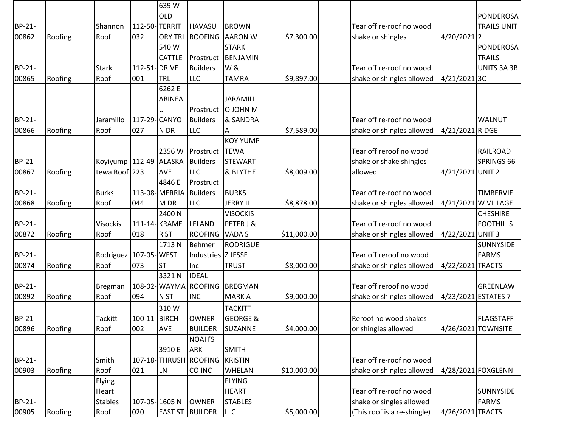|        |         |                           |               | 639W            |                       |                     |             |                             |                     |                     |
|--------|---------|---------------------------|---------------|-----------------|-----------------------|---------------------|-------------|-----------------------------|---------------------|---------------------|
|        |         |                           |               | <b>OLD</b>      |                       |                     |             |                             |                     | PONDEROSA           |
| BP-21- |         | Shannon                   | 112-50-TERRIT |                 | <b>HAVASU</b>         | <b>BROWN</b>        |             | Tear off re-roof no wood    |                     | <b>TRAILS UNIT</b>  |
| 00862  | Roofing | Roof                      | 032           | <b>ORY TRL</b>  | <b>ROOFING</b>        | <b>AARON W</b>      | \$7,300.00  | shake or shingles           | 4/20/2021 2         |                     |
|        |         |                           |               | 540W            |                       | <b>STARK</b>        |             |                             |                     | <b>PONDEROSA</b>    |
|        |         |                           |               | CATTLE          | Prostruct             | BENJAMIN            |             |                             |                     | <b>TRAILS</b>       |
| BP-21- |         | <b>Stark</b>              | 112-51- DRIVE |                 | <b>Builders</b>       | W &                 |             | Tear off re-roof no wood    |                     | UNITS 3A 3B         |
| 00865  | Roofing | Roof                      | 001           | <b>TRL</b>      | <b>LLC</b>            | <b>TAMRA</b>        | \$9,897.00  | shake or shingles allowed   | 4/21/2021 3C        |                     |
|        |         |                           |               | 6262 E          |                       |                     |             |                             |                     |                     |
|        |         |                           |               | <b>ABINEA</b>   |                       | <b>JARAMILL</b>     |             |                             |                     |                     |
|        |         |                           |               |                 | Prostruct             | O JOHN M            |             |                             |                     |                     |
| BP-21- |         | Jaramillo                 | 117-29-CANYO  |                 | <b>Builders</b>       | & SANDRA            |             | Tear off re-roof no wood    |                     | <b>WALNUT</b>       |
| 00866  | Roofing | Roof                      | 027           | N DR            | <b>LLC</b>            | Α                   | \$7,589.00  | shake or shingles allowed   | 4/21/2021 RIDGE     |                     |
|        |         |                           |               |                 |                       | <b>KOYIYUMP</b>     |             |                             |                     |                     |
|        |         |                           |               | 2356 W          | Prostruct             | <b>TEWA</b>         |             | Tear off reroof no wood     |                     | <b>RAILROAD</b>     |
| BP-21- |         | Koyiyump   112-49- ALASKA |               |                 | <b>Builders</b>       | <b>STEWART</b>      |             | shake or shake shingles     |                     | SPRINGS 66          |
| 00867  | Roofing | tewa Roof 223             |               | AVE             | <b>LLC</b>            | & BLYTHE            | \$8,009.00  | allowed                     | 4/21/2021 UNIT 2    |                     |
|        |         |                           |               | 4846 E          | Prostruct             |                     |             |                             |                     |                     |
| BP-21- |         | <b>Burks</b>              |               | 113-08-MERRIA   | <b>Builders</b>       | <b>BURKS</b>        |             | Tear off re-roof no wood    |                     | <b>TIMBERVIE</b>    |
| 00868  | Roofing | Roof                      | 044           | M DR            | <b>LLC</b>            | <b>JERRY II</b>     | \$8,878.00  | shake or shingles allowed   |                     | 4/21/2021 W VILLAGE |
|        |         |                           |               | 2400 N          |                       | <b>VISOCKIS</b>     |             |                             |                     | <b>CHESHIRE</b>     |
| BP-21- |         | <b>Visockis</b>           | 111-14-KRAME  |                 | LELAND                | PETER J &           |             | Tear off re-roof no wood    |                     | <b>FOOTHILLS</b>    |
| 00872  | Roofing | Roof                      | 018           | R <sub>ST</sub> | ROOFING VADA S        |                     | \$11,000.00 | shake or shingles allowed   | 4/22/2021 UNIT 3    |                     |
|        |         |                           |               | 1713N           | <b>Behmer</b>         | RODRIGUE            |             |                             |                     | <b>SUNNYSIDE</b>    |
| BP-21- |         | Rodriguez 107-05-WEST     |               |                 | Industries Z JESSE    |                     |             | Tear off reroof no wood     |                     | <b>FARMS</b>        |
| 00874  | Roofing | Roof                      | 073           | IST             | Inc                   | <b>TRUST</b>        | \$8,000.00  | shake or shingles allowed   | 4/22/2021 TRACTS    |                     |
|        |         |                           |               | 3321N           | <b>IDEAL</b>          |                     |             |                             |                     |                     |
| BP-21- |         | Bregman                   |               |                 | 108-02- WAYMA ROOFING | BREGMAN             |             | Tear off reroof no wood     |                     | <b>GREENLAW</b>     |
| 00892  | Roofing | Roof                      | 094           | N <sub>ST</sub> | <b>INC</b>            | <b>MARKA</b>        | \$9,000.00  | shake or shingles allowed   | 4/23/2021 ESTATES 7 |                     |
|        |         |                           |               | 310W            |                       | <b>TACKITT</b>      |             |                             |                     |                     |
| BP-21- |         | Tackitt                   | 100-11-BIRCH  |                 | <b>OWNER</b>          | <b>GEORGE &amp;</b> |             | Reroof no wood shakes       |                     | <b>FLAGSTAFF</b>    |
| 00896  | Roofing | Roof                      | 002           | AVE             | <b>BUILDER</b>        | SUZANNE             | \$4,000.00  | or shingles allowed         |                     | 4/26/2021 TOWNSITE  |
|        |         |                           |               |                 | <b>NOAH'S</b>         |                     |             |                             |                     |                     |
|        |         |                           |               | 3910 E          | <b>ARK</b>            | <b>SMITH</b>        |             |                             |                     |                     |
| BP-21- |         | Smith                     |               |                 | 107-18-THRUSH ROOFING | <b>KRISTIN</b>      |             | Tear off re-roof no wood    |                     |                     |
| 00903  | Roofing | Roof                      | 021           | LN              | CO INC                | <b>WHELAN</b>       | \$10,000.00 | shake or shingles allowed   |                     | 4/28/2021 FOXGLENN  |
|        |         | Flying                    |               |                 |                       | <b>FLYING</b>       |             |                             |                     |                     |
|        |         | Heart                     |               |                 |                       | <b>HEART</b>        |             | Tear off re-roof no wood    |                     | <b>SUNNYSIDE</b>    |
| BP-21- |         | <b>Stables</b>            |               | 107-05-1605N    | <b>OWNER</b>          | <b>STABLES</b>      |             | shake or singles allowed    |                     | <b>FARMS</b>        |
| 00905  | Roofing | Roof                      | 020           | <b>EAST ST</b>  | <b>BUILDER</b>        | LLC                 | \$5,000.00  | (This roof is a re-shingle) | 4/26/2021 TRACTS    |                     |